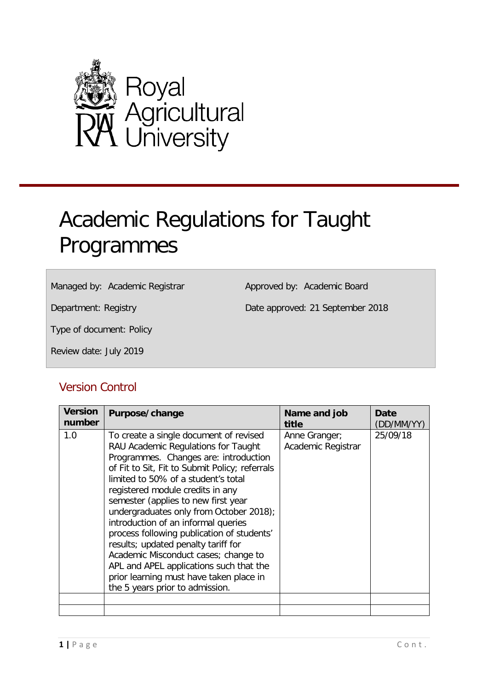

# <span id="page-0-0"></span>Academic Regulations for Taught Programmes

Managed by: Academic Registrar

Approved by: Academic Board

Department: Registry

Date approved: 21 September 2018

Type of document: Policy

Review date: July 2019

# Version Control

| <b>Version</b><br>number | Purpose/change                                                                                                                                                                                                                                                                                                                                                                                                                                                                                                                                                                                                                     | Name and job<br>title               | Date<br>(DD/MM/YY) |
|--------------------------|------------------------------------------------------------------------------------------------------------------------------------------------------------------------------------------------------------------------------------------------------------------------------------------------------------------------------------------------------------------------------------------------------------------------------------------------------------------------------------------------------------------------------------------------------------------------------------------------------------------------------------|-------------------------------------|--------------------|
| 1.0                      | To create a single document of revised<br>RAU Academic Regulations for Taught<br>Programmes. Changes are: introduction<br>of Fit to Sit, Fit to Submit Policy; referrals<br>limited to 50% of a student's total<br>registered module credits in any<br>semester (applies to new first year<br>undergraduates only from October 2018);<br>introduction of an informal queries<br>process following publication of students'<br>results; updated penalty tariff for<br>Academic Misconduct cases; change to<br>APL and APEL applications such that the<br>prior learning must have taken place in<br>the 5 years prior to admission. | Anne Granger;<br>Academic Registrar | 25/09/18           |
|                          |                                                                                                                                                                                                                                                                                                                                                                                                                                                                                                                                                                                                                                    |                                     |                    |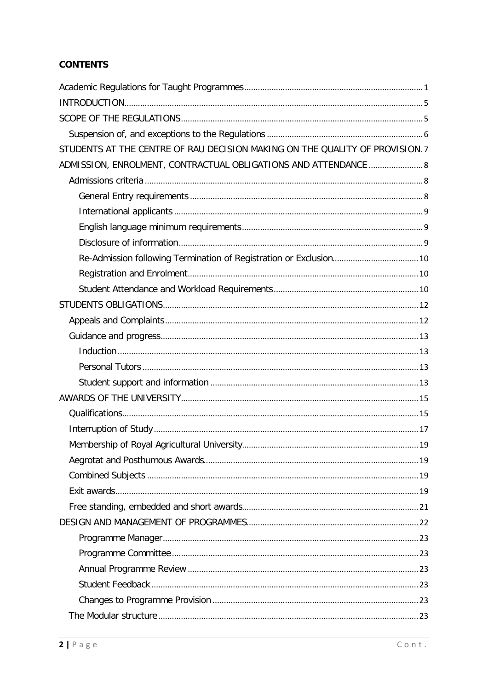# **CONTENTS**

| STUDENTS AT THE CENTRE OF RAU DECISION MAKING ON THE QUALITY OF PROVISION.7 |  |
|-----------------------------------------------------------------------------|--|
| ADMISSION, ENROLMENT, CONTRACTUAL OBLIGATIONS AND ATTENDANCE  8             |  |
|                                                                             |  |
|                                                                             |  |
|                                                                             |  |
|                                                                             |  |
|                                                                             |  |
|                                                                             |  |
|                                                                             |  |
|                                                                             |  |
|                                                                             |  |
|                                                                             |  |
|                                                                             |  |
|                                                                             |  |
|                                                                             |  |
|                                                                             |  |
|                                                                             |  |
|                                                                             |  |
|                                                                             |  |
|                                                                             |  |
|                                                                             |  |
|                                                                             |  |
|                                                                             |  |
|                                                                             |  |
|                                                                             |  |
|                                                                             |  |
|                                                                             |  |
|                                                                             |  |
|                                                                             |  |
|                                                                             |  |
|                                                                             |  |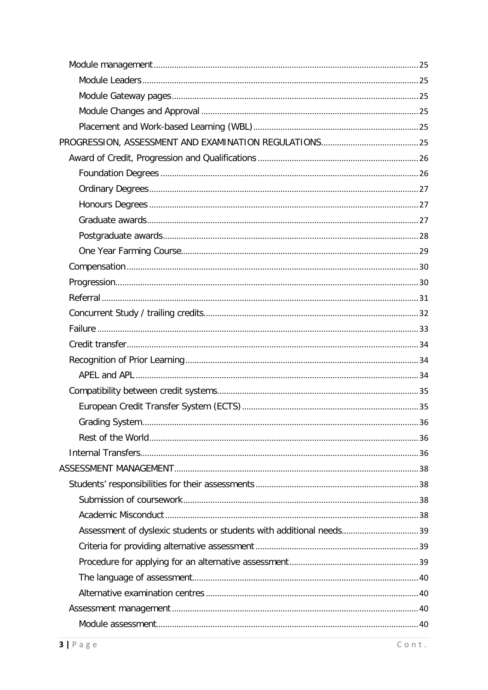| . 36                                                                |  |
|---------------------------------------------------------------------|--|
|                                                                     |  |
|                                                                     |  |
|                                                                     |  |
|                                                                     |  |
|                                                                     |  |
|                                                                     |  |
| Assessment of dyslexic students or students with additional needs39 |  |
|                                                                     |  |
|                                                                     |  |
|                                                                     |  |
|                                                                     |  |
|                                                                     |  |
|                                                                     |  |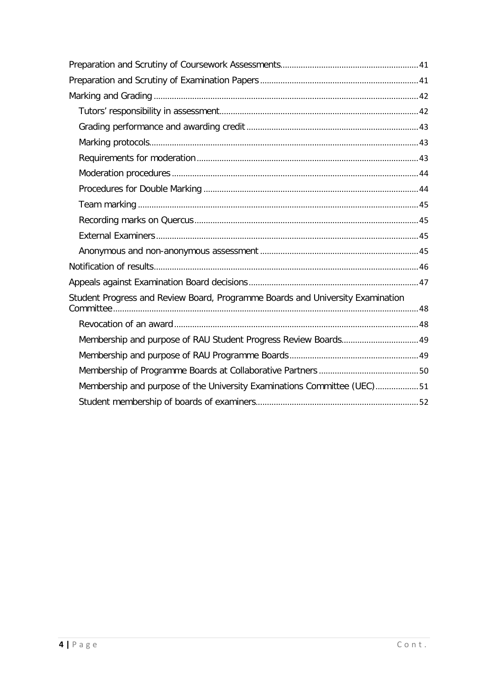| Student Progress and Review Board, Programme Boards and University Examination |  |
|--------------------------------------------------------------------------------|--|
|                                                                                |  |
|                                                                                |  |
|                                                                                |  |
|                                                                                |  |
| Membership and purpose of the University Examinations Committee (UEC)51        |  |
|                                                                                |  |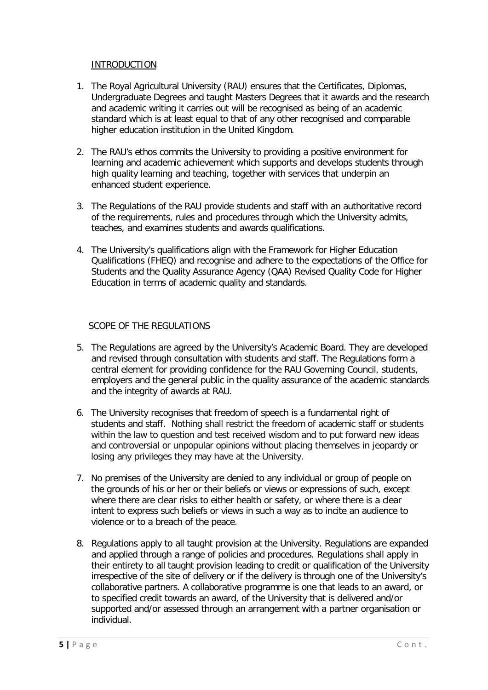# INTRODUCTION

- <span id="page-4-0"></span>1. The Royal Agricultural University (RAU) ensures that the Certificates, Diplomas, Undergraduate Degrees and taught Masters Degrees that it awards and the research and academic writing it carries out will be recognised as being of an academic standard which is at least equal to that of any other recognised and comparable higher education institution in the United Kingdom.
- 2. The RAU's ethos commits the University to providing a positive environment for learning and academic achievement which supports and develops students through high quality learning and teaching, together with services that underpin an enhanced student experience.
- 3. The Regulations of the RAU provide students and staff with an authoritative record of the requirements, rules and procedures through which the University admits, teaches, and examines students and awards qualifications.
- 4. The University's qualifications align with the Framework for Higher Education Qualifications (FHEQ) and recognise and adhere to the expectations of the Office for Students and the Quality Assurance Agency (QAA) Revised Quality Code for Higher Education in terms of academic quality and standards.

# SCOPE OF THE REGULATIONS

- <span id="page-4-1"></span>5. The Regulations are agreed by the University's Academic Board. They are developed and revised through consultation with students and staff. The Regulations form a central element for providing confidence for the RAU Governing Council, students, employers and the general public in the quality assurance of the academic standards and the integrity of awards at RAU.
- 6. The University recognises that freedom of speech is a fundamental right of students and staff. Nothing shall restrict the freedom of academic staff or students within the law to question and test received wisdom and to put forward new ideas and controversial or unpopular opinions without placing themselves in jeopardy or losing any privileges they may have at the University.
- 7. No premises of the University are denied to any individual or group of people on the grounds of his or her or their beliefs or views or expressions of such, except where there are clear risks to either health or safety, or where there is a clear intent to express such beliefs or views in such a way as to incite an audience to violence or to a breach of the peace.
- 8. Regulations apply to all taught provision at the University. Regulations are expanded and applied through a range of policies and procedures. Regulations shall apply in their entirety to all taught provision leading to credit or qualification of the University irrespective of the site of delivery or if the delivery is through one of the University's collaborative partners. A collaborative programme is one that leads to an award, or to specified credit towards an award, of the University that is delivered and/or supported and/or assessed through an arrangement with a partner organisation or individual.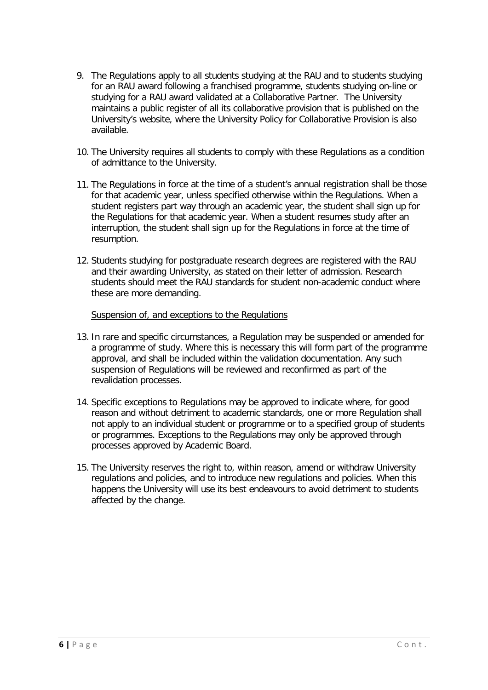- 9. The Regulations apply to all students studying at the RAU and to students studying for an RAU award following a franchised programme, students studying on-line or studying for a RAU award validated at a Collaborative Partner. The University maintains a public register of all its collaborative provision that is published on the University's website, where the University Policy for Collaborative Provision is also available.
- 10. The University requires all students to comply with these Regulations as a condition of admittance to the University.
- 11. The Regulations in force at the time of a student's annual registration shall be those for that academic year, unless specified otherwise within the Regulations. When a student registers part way through an academic year, the student shall sign up for the Regulations for that academic year. When a student resumes study after an interruption, the student shall sign up for the Regulations in force at the time of resumption.
- 12. Students studying for postgraduate research degrees are registered with the RAU and their awarding University, as stated on their letter of admission. Research students should meet the RAU standards for student non-academic conduct where these are more demanding.

#### Suspension of, and exceptions to the Regulations

- <span id="page-5-0"></span>13. In rare and specific circumstances, a Regulation may be suspended or amended for a programme of study. Where this is necessary this will form part of the programme approval, and shall be included within the validation documentation. Any such suspension of Regulations will be reviewed and reconfirmed as part of the revalidation processes.
- 14. Specific exceptions to Regulations may be approved to indicate where, for good reason and without detriment to academic standards, one or more Regulation shall not apply to an individual student or programme or to a specified group of students or programmes. Exceptions to the Regulations may only be approved through processes approved by Academic Board.
- 15. The University reserves the right to, within reason, amend or withdraw University regulations and policies, and to introduce new regulations and policies. When this happens the University will use its best endeavours to avoid detriment to students affected by the change.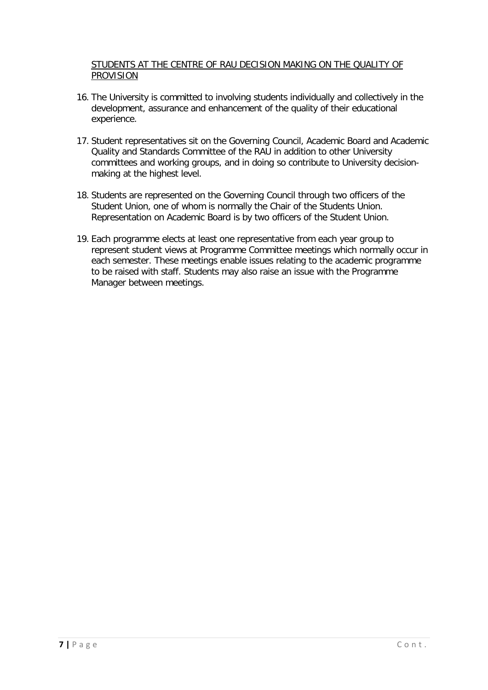# <span id="page-6-0"></span>STUDENTS AT THE CENTRE OF RAU DECISION MAKING ON THE QUALITY OF **PROVISION**

- 16. The University is committed to involving students individually and collectively in the development, assurance and enhancement of the quality of their educational experience.
- 17. Student representatives sit on the Governing Council, Academic Board and Academic Quality and Standards Committee of the RAU in addition to other University committees and working groups, and in doing so contribute to University decisionmaking at the highest level.
- 18. Students are represented on the Governing Council through two officers of the Student Union, one of whom is normally the Chair of the Students Union. Representation on Academic Board is by two officers of the Student Union.
- 19. Each programme elects at least one representative from each year group to represent student views at Programme Committee meetings which normally occur in each semester. These meetings enable issues relating to the academic programme to be raised with staff. Students may also raise an issue with the Programme Manager between meetings.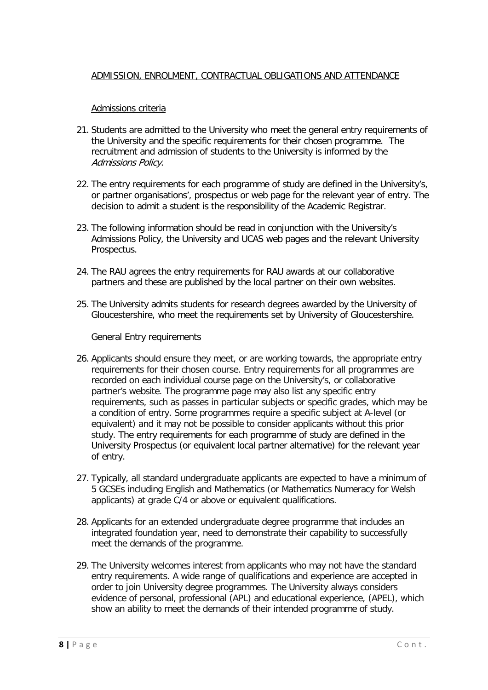# <span id="page-7-0"></span>ADMISSION, ENROLMENT, CONTRACTUAL OBLIGATIONS AND ATTENDANCE

#### Admissions criteria

- <span id="page-7-1"></span>21. Students are admitted to the University who meet the general entry requirements of the University and the specific requirements for their chosen programme. The recruitment and admission of students to the University is informed by the Admissions Policy.
- 22. The entry requirements for each programme of study are defined in the University's, or partner organisations', prospectus or web page for the relevant year of entry. The decision to admit a student is the responsibility of the Academic Registrar.
- 23. The following information should be read in conjunction with the University's Admissions Policy, the University and UCAS web pages and the relevant University Prospectus.
- 24. The RAU agrees the entry requirements for RAU awards at our collaborative partners and these are published by the local partner on their own websites.
- 25. The University admits students for research degrees awarded by the University of Gloucestershire, who meet the requirements set by University of Gloucestershire.

General Entry requirements

- <span id="page-7-2"></span>26. Applicants should ensure they meet, or are working towards, the appropriate entry requirements for their chosen course. Entry requirements for all programmes are recorded on each individual course page on the University's, or collaborative partner's website. The programme page may also list any specific entry requirements, such as passes in particular subjects or specific grades, which may be a condition of entry. Some programmes require a specific subject at A-level (or equivalent) and it may not be possible to consider applicants without this prior study. The entry requirements for each programme of study are defined in the University Prospectus (or equivalent local partner alternative) for the relevant year of entry.
- 27. Typically, all standard undergraduate applicants are expected to have a minimum of 5 GCSEs including English and Mathematics (or Mathematics Numeracy for Welsh applicants) at grade C/4 or above or equivalent qualifications.
- 28. Applicants for an extended undergraduate degree programme that includes an integrated foundation year, need to demonstrate their capability to successfully meet the demands of the programme.
- 29. The University welcomes interest from applicants who may not have the standard entry requirements. A wide range of qualifications and experience are accepted in order to join University degree programmes. The University always considers evidence of personal, professional (APL) and educational experience, (APEL), which show an ability to meet the demands of their intended programme of study.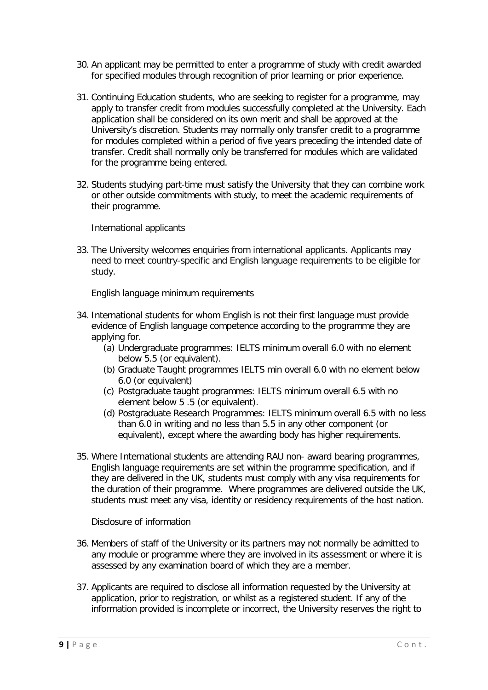- 30. An applicant may be permitted to enter a programme of study with credit awarded for specified modules through recognition of prior learning or prior experience.
- 31. Continuing Education students, who are seeking to register for a programme, may apply to transfer credit from modules successfully completed at the University. Each application shall be considered on its own merit and shall be approved at the University's discretion. Students may normally only transfer credit to a programme for modules completed within a period of five years preceding the intended date of transfer. Credit shall normally only be transferred for modules which are validated for the programme being entered.
- 32. Students studying part-time must satisfy the University that they can combine work or other outside commitments with study, to meet the academic requirements of their programme.

International applicants

<span id="page-8-0"></span>33. The University welcomes enquiries from international applicants. Applicants may need to meet country-specific and English language requirements to be eligible for study.

English language minimum requirements

- <span id="page-8-1"></span>34. International students for whom English is not their first language must provide evidence of English language competence according to the programme they are applying for.
	- (a) Undergraduate programmes: IELTS minimum overall 6.0 with no element below 5.5 (or equivalent).
	- (b) Graduate Taught programmes IELTS min overall 6.0 with no element below 6.0 (or equivalent)
	- (c) Postgraduate taught programmes: IELTS minimum overall 6.5 with no element below 5 .5 (or equivalent).
	- (d) Postgraduate Research Programmes: IELTS minimum overall 6.5 with no less than 6.0 in writing and no less than 5.5 in any other component (or equivalent), except where the awarding body has higher requirements.
- 35. Where International students are attending RAU non- award bearing programmes, English language requirements are set within the programme specification, and if they are delivered in the UK, students must comply with any visa requirements for the duration of their programme. Where programmes are delivered outside the UK, students must meet any visa, identity or residency requirements of the host nation.

Disclosure of information

- <span id="page-8-2"></span>36. Members of staff of the University or its partners may not normally be admitted to any module or programme where they are involved in its assessment or where it is assessed by any examination board of which they are a member.
- 37. Applicants are required to disclose all information requested by the University at application, prior to registration, or whilst as a registered student. If any of the information provided is incomplete or incorrect, the University reserves the right to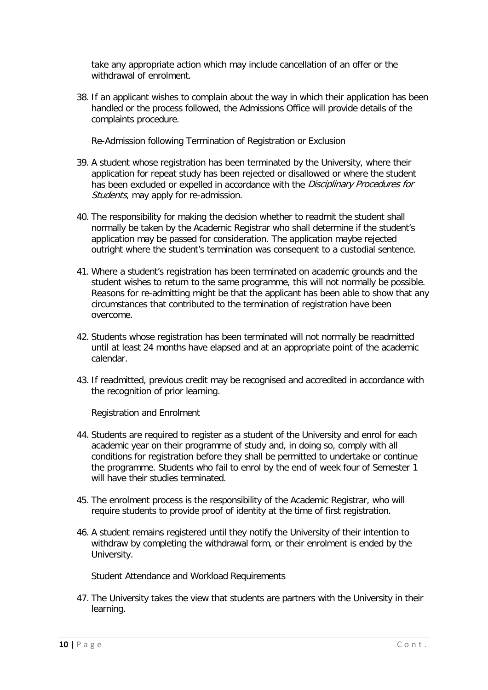take any appropriate action which may include cancellation of an offer or the withdrawal of enrolment.

38. If an applicant wishes to complain about the way in which their application has been handled or the process followed, the Admissions Office will provide details of the complaints procedure.

Re-Admission following Termination of Registration or Exclusion

- <span id="page-9-0"></span>39. A student whose registration has been terminated by the University, where their application for repeat study has been rejected or disallowed or where the student has been excluded or expelled in accordance with the *Disciplinary Procedures for* Students, may apply for re-admission.
- 40. The responsibility for making the decision whether to readmit the student shall normally be taken by the Academic Registrar who shall determine if the student's application may be passed for consideration. The application maybe rejected outright where the student's termination was consequent to a custodial sentence.
- 41. Where a student's registration has been terminated on academic grounds and the student wishes to return to the same programme, this will not normally be possible. Reasons for re-admitting might be that the applicant has been able to show that any circumstances that contributed to the termination of registration have been overcome.
- 42. Students whose registration has been terminated will not normally be readmitted until at least 24 months have elapsed and at an appropriate point of the academic calendar.
- 43. If readmitted, previous credit may be recognised and accredited in accordance with the recognition of prior learning.

Registration and Enrolment

- <span id="page-9-1"></span>44. Students are required to register as a student of the University and enrol for each academic year on their programme of study and, in doing so, comply with all conditions for registration before they shall be permitted to undertake or continue the programme. Students who fail to enrol by the end of week four of Semester 1 will have their studies terminated.
- 45. The enrolment process is the responsibility of the Academic Registrar, who will require students to provide proof of identity at the time of first registration.
- 46. A student remains registered until they notify the University of their intention to withdraw by completing the withdrawal form, or their enrolment is ended by the University.

Student Attendance and Workload Requirements

<span id="page-9-2"></span>47. The University takes the view that students are partners with the University in their learning.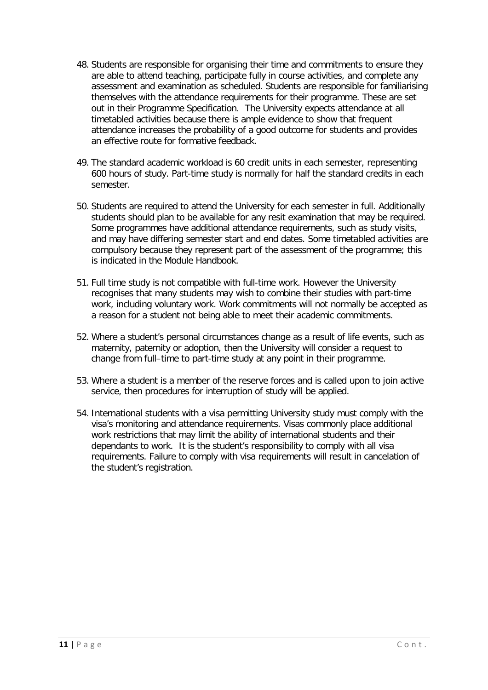- 48. Students are responsible for organising their time and commitments to ensure they are able to attend teaching, participate fully in course activities, and complete any assessment and examination as scheduled. Students are responsible for familiarising themselves with the attendance requirements for their programme. These are set out in their Programme Specification. The University expects attendance at all timetabled activities because there is ample evidence to show that frequent attendance increases the probability of a good outcome for students and provides an effective route for formative feedback.
- 49. The standard academic workload is 60 credit units in each semester, representing 600 hours of study. Part-time study is normally for half the standard credits in each semester.
- 50. Students are required to attend the University for each semester in full. Additionally students should plan to be available for any resit examination that may be required. Some programmes have additional attendance requirements, such as study visits, and may have differing semester start and end dates. Some timetabled activities are compulsory because they represent part of the assessment of the programme; this is indicated in the Module Handbook.
- 51. Full time study is not compatible with full-time work. However the University recognises that many students may wish to combine their studies with part-time work, including voluntary work. Work commitments will not normally be accepted as a reason for a student not being able to meet their academic commitments.
- 52. Where a student's personal circumstances change as a result of life events, such as maternity, paternity or adoption, then the University will consider a request to change from full–time to part-time study at any point in their programme.
- 53. Where a student is a member of the reserve forces and is called upon to join active service, then procedures for interruption of study will be applied.
- 54. International students with a visa permitting University study must comply with the visa's monitoring and attendance requirements. Visas commonly place additional work restrictions that may limit the ability of international students and their dependants to work. It is the student's responsibility to comply with all visa requirements. Failure to comply with visa requirements will result in cancelation of the student's registration.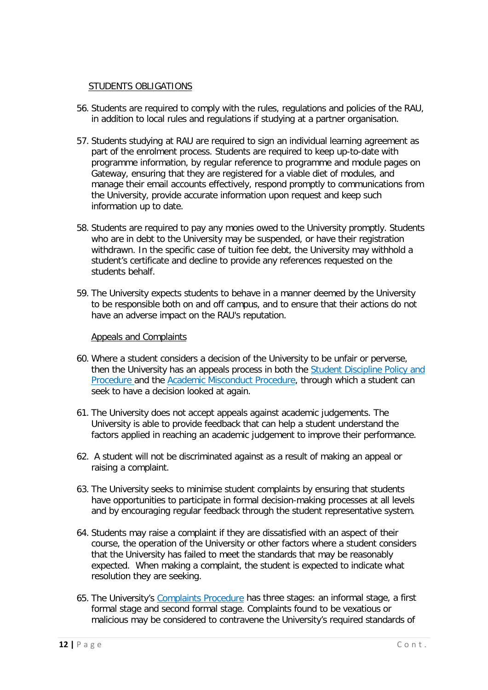#### STUDENTS OBLIGATIONS

- <span id="page-11-0"></span>56. Students are required to comply with the rules, regulations and policies of the RAU, in addition to local rules and regulations if studying at a partner organisation.
- 57. Students studying at RAU are required to sign an individual learning agreement as part of the enrolment process. Students are required to keep up-to-date with programme information, by regular reference to programme and module pages on Gateway, ensuring that they are registered for a viable diet of modules, and manage their email accounts effectively, respond promptly to communications from the University, provide accurate information upon request and keep such information up to date.
- 58. Students are required to pay any monies owed to the University promptly. Students who are in debt to the University may be suspended, or have their registration withdrawn. In the specific case of tuition fee debt, the University may withhold a student's certificate and decline to provide any references requested on the students behalf.
- 59. The University expects students to behave in a manner deemed by the University to be responsible both on and off campus, and to ensure that their actions do not have an adverse impact on the RAU's reputation.

#### Appeals and Complaints

- <span id="page-11-1"></span>60. Where a student considers a decision of the University to be unfair or perverse, then the University has an appeals process in both the [Student Discipline Policy and](http://res.rau.ac.uk/docs/www/policies/Student-Discipline-Policy-Procedure.pdf)  [Procedure](http://res.rau.ac.uk/docs/www/policies/Student-Discipline-Policy-Procedure.pdf) and the [Academic Misconduct Procedure,](https://res.rau.ac.uk/docs/www/policies/Academic-misconduct.pdf) through which a student can seek to have a decision looked at again.
- 61. The University does not accept appeals against academic judgements. The University is able to provide feedback that can help a student understand the factors applied in reaching an academic judgement to improve their performance.
- 62. A student will not be discriminated against as a result of making an appeal or raising a complaint.
- 63. The University seeks to minimise student complaints by ensuring that students have opportunities to participate in formal decision-making processes at all levels and by encouraging regular feedback through the student representative system.
- 64. Students may raise a complaint if they are dissatisfied with an aspect of their course, the operation of the University or other factors where a student considers that the University has failed to meet the standards that may be reasonably expected. When making a complaint, the student is expected to indicate what resolution they are seeking.
- 65. The University's [Complaints Procedure](http://dk5y2dlrctiai.cloudfront.net/2017/11/23/11/55/56/717/StudentComplaintsProcedure2017.pdf) has three stages: an informal stage, a first formal stage and second formal stage. Complaints found to be vexatious or malicious may be considered to contravene the University's required standards of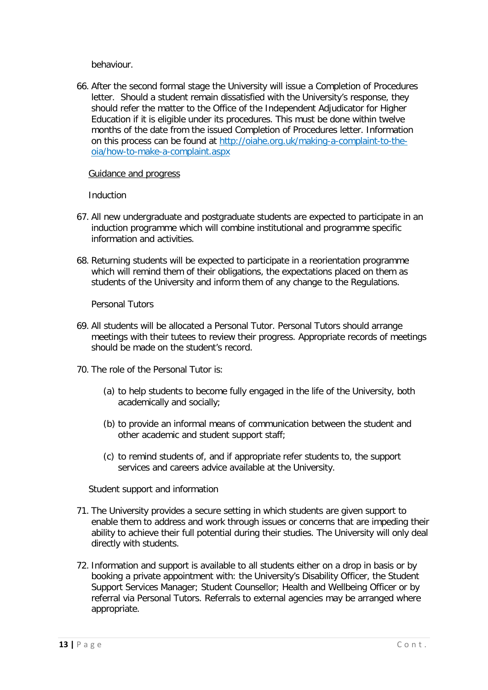behaviour.

66. After the second formal stage the University will issue a Completion of Procedures letter. Should a student remain dissatisfied with the University's response, they should refer the matter to the Office of the Independent Adjudicator for Higher Education if it is eligible under its procedures. This must be done within twelve months of the date from the issued Completion of Procedures letter. Information on this process can be found at [http://oiahe.org.uk/making-a-complaint-to-the](http://oiahe.org.uk/making-a-complaint-to-the-oia/how-to-make-a-complaint.aspx)[oia/how-to-make-a-complaint.aspx](http://oiahe.org.uk/making-a-complaint-to-the-oia/how-to-make-a-complaint.aspx)

#### <span id="page-12-0"></span>Guidance and progress

Induction

- <span id="page-12-1"></span>67. All new undergraduate and postgraduate students are expected to participate in an induction programme which will combine institutional and programme specific information and activities.
- 68. Returning students will be expected to participate in a reorientation programme which will remind them of their obligations, the expectations placed on them as students of the University and inform them of any change to the Regulations.

Personal Tutors

- <span id="page-12-2"></span>69. All students will be allocated a Personal Tutor. Personal Tutors should arrange meetings with their tutees to review their progress. Appropriate records of meetings should be made on the student's record.
- 70. The role of the Personal Tutor is:
	- (a) to help students to become fully engaged in the life of the University, both academically and socially;
	- (b) to provide an informal means of communication between the student and other academic and student support staff;
	- (c) to remind students of, and if appropriate refer students to, the support services and careers advice available at the University.

Student support and information

- <span id="page-12-3"></span>71. The University provides a secure setting in which students are given support to enable them to address and work through issues or concerns that are impeding their ability to achieve their full potential during their studies. The University will only deal directly with students.
- 72. Information and support is available to all students either on a drop in basis or by booking a private appointment with: the University's Disability Officer, the Student Support Services Manager; Student Counsellor; Health and Wellbeing Officer or by referral via Personal Tutors. Referrals to external agencies may be arranged where appropriate.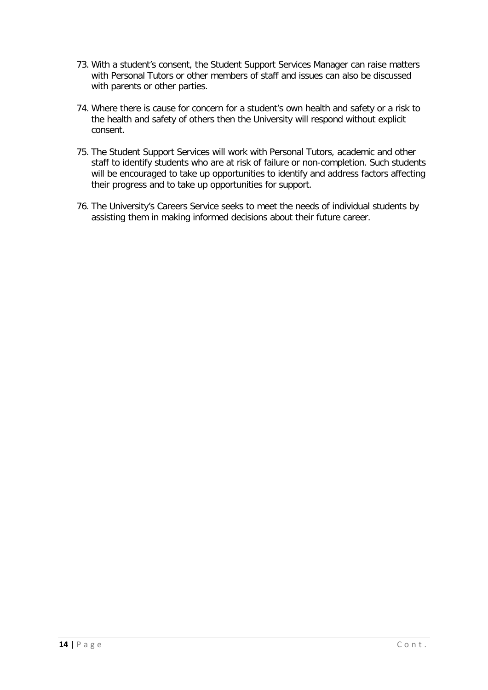- 73. With a student's consent, the Student Support Services Manager can raise matters with Personal Tutors or other members of staff and issues can also be discussed with parents or other parties.
- 74. Where there is cause for concern for a student's own health and safety or a risk to the health and safety of others then the University will respond without explicit consent.
- 75. The Student Support Services will work with Personal Tutors, academic and other staff to identify students who are at risk of failure or non-completion. Such students will be encouraged to take up opportunities to identify and address factors affecting their progress and to take up opportunities for support.
- 76. The University's Careers Service seeks to meet the needs of individual students by assisting them in making informed decisions about their future career.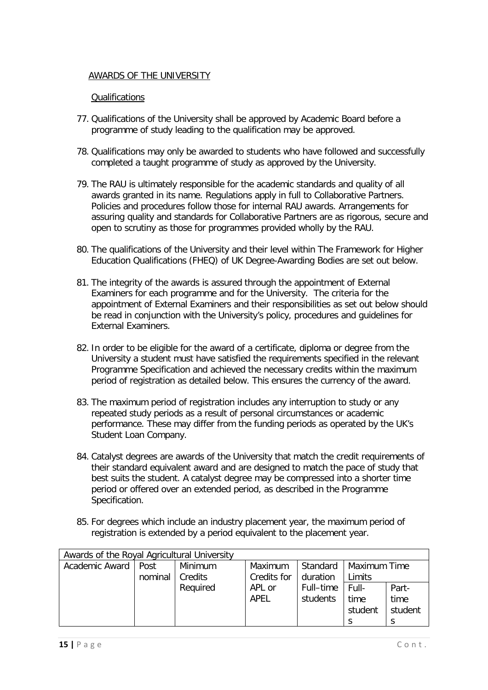# <span id="page-14-0"></span>AWARDS OF THE UNIVERSITY

# **Qualifications**

- <span id="page-14-1"></span>77. Qualifications of the University shall be approved by Academic Board before a programme of study leading to the qualification may be approved.
- 78. Qualifications may only be awarded to students who have followed and successfully completed a taught programme of study as approved by the University.
- 79. The RAU is ultimately responsible for the academic standards and quality of all awards granted in its name. Regulations apply in full to Collaborative Partners. Policies and procedures follow those for internal RAU awards. Arrangements for assuring quality and standards for Collaborative Partners are as rigorous, secure and open to scrutiny as those for programmes provided wholly by the RAU.
- 80. The qualifications of the University and their level within The Framework for Higher Education Qualifications (FHEQ) of UK Degree-Awarding Bodies are set out below.
- 81. The integrity of the awards is assured through the appointment of External Examiners for each programme and for the University. The criteria for the appointment of External Examiners and their responsibilities as set out below should be read in conjunction with the University's policy, procedures and guidelines for External Examiners.
- 82. In order to be eligible for the award of a certificate, diploma or degree from the University a student must have satisfied the requirements specified in the relevant Programme Specification and achieved the necessary credits within the maximum period of registration as detailed below. This ensures the currency of the award.
- 83. The maximum period of registration includes any interruption to study or any repeated study periods as a result of personal circumstances or academic performance. These may differ from the funding periods as operated by the UK's Student Loan Company.
- 84. Catalyst degrees are awards of the University that match the credit requirements of their standard equivalent award and are designed to match the pace of study that best suits the student. A catalyst degree may be compressed into a shorter time period or offered over an extended period, as described in the Programme Specification.
- 85. For degrees which include an industry placement year, the maximum period of registration is extended by a period equivalent to the placement year.

| Awards of the Royal Agricultural University |         |          |             |           |              |         |
|---------------------------------------------|---------|----------|-------------|-----------|--------------|---------|
| Academic Award   Post                       |         | Minimum  | Maximum     | Standard  | Maximum Time |         |
|                                             | nominal | Credits  | Credits for | duration  | Limits       |         |
|                                             |         | Required | APL or      | Full-time | Full-        | Part-   |
|                                             |         |          | APEL        | students  | time         | time    |
|                                             |         |          |             |           | student      | student |
|                                             |         |          |             |           |              | S       |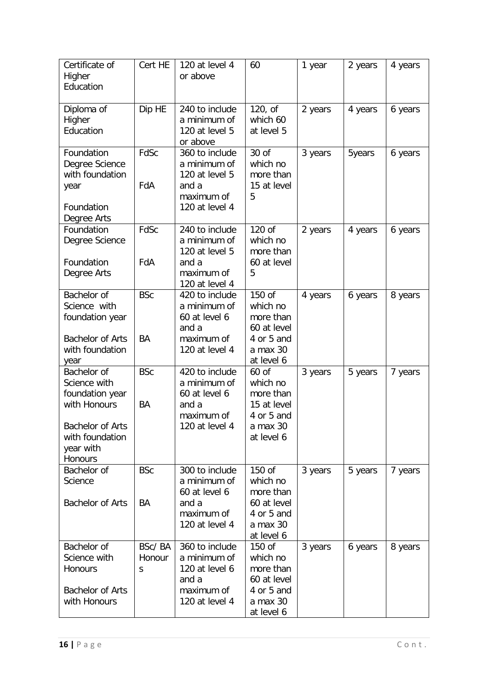| Certificate of<br>Higher<br>Education                                                                                         | Cert HE               | 120 at level 4<br>or above                                                                | 60                                                                                     | 1 year  | 2 years | 4 years |
|-------------------------------------------------------------------------------------------------------------------------------|-----------------------|-------------------------------------------------------------------------------------------|----------------------------------------------------------------------------------------|---------|---------|---------|
| Diploma of<br>Higher<br>Education                                                                                             | Dip HE                | 240 to include<br>a minimum of<br>120 at level 5<br>or above                              | 120, of<br>which 60<br>at level 5                                                      | 2 years | 4 years | 6 years |
| Foundation<br>Degree Science<br>with foundation<br>year<br>Foundation<br>Degree Arts                                          | FdSc<br>FdA           | 360 to include<br>a minimum of<br>120 at level 5<br>and a<br>maximum of<br>120 at level 4 | 30 of<br>which no<br>more than<br>15 at level<br>5                                     | 3 years | 5years  | 6 years |
| Foundation<br>Degree Science<br>Foundation<br>Degree Arts                                                                     | FdSc<br>FdA           | 240 to include<br>a minimum of<br>120 at level 5<br>and a<br>maximum of<br>120 at level 4 | 120 of<br>which no<br>more than<br>60 at level<br>5                                    | 2 years | 4 years | 6 years |
| Bachelor of<br>Science with<br>foundation year<br><b>Bachelor of Arts</b><br>with foundation<br>year                          | <b>BSc</b><br>BA      | 420 to include<br>a minimum of<br>60 at level 6<br>and a<br>maximum of<br>120 at level 4  | 150 of<br>which no<br>more than<br>60 at level<br>4 or 5 and<br>a max 30<br>at level 6 | 4 years | 6 years | 8 years |
| Bachelor of<br>Science with<br>foundation year<br>with Honours<br>Bachelor of Arts<br>with foundation<br>year with<br>Honours | <b>BSc</b><br>BA      | 420 to include<br>a minimum of<br>60 at level 6<br>and a<br>maximum of<br>120 at level 4  | 60 of<br>which no<br>more than<br>15 at level<br>4 or 5 and<br>a max 30<br>at level 6  | 3 years | 5 years | 7 years |
| Bachelor of<br>Science<br><b>Bachelor of Arts</b>                                                                             | <b>BSc</b><br>BA      | 300 to include<br>a minimum of<br>60 at level 6<br>and a<br>maximum of<br>120 at level 4  | 150 of<br>which no<br>more than<br>60 at level<br>4 or 5 and<br>a max 30<br>at level 6 | 3 years | 5 years | 7 years |
| Bachelor of<br>Science with<br><b>Honours</b><br><b>Bachelor of Arts</b><br>with Honours                                      | BSc/BA<br>Honour<br>S | 360 to include<br>a minimum of<br>120 at level 6<br>and a<br>maximum of<br>120 at level 4 | 150 of<br>which no<br>more than<br>60 at level<br>4 or 5 and<br>a max 30<br>at level 6 | 3 years | 6 years | 8 years |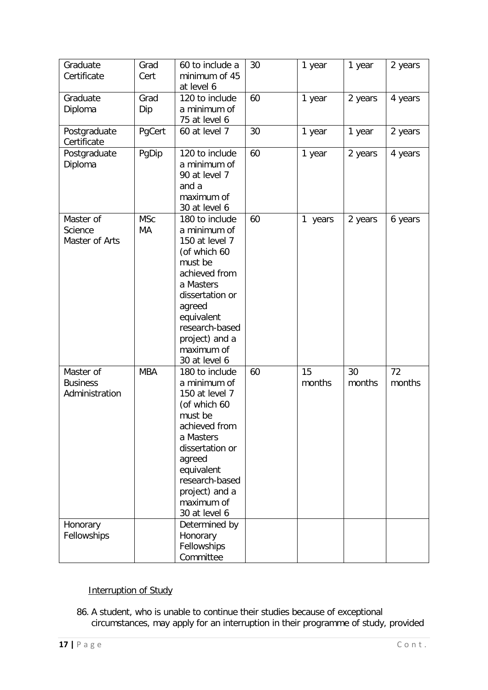| Graduate<br>Certificate                        | Grad<br>Cert     | 60 to include a<br>minimum of 45<br>at level 6                                                                                                                                                                          | 30 | 1 year       | 1 year       | 2 years      |
|------------------------------------------------|------------------|-------------------------------------------------------------------------------------------------------------------------------------------------------------------------------------------------------------------------|----|--------------|--------------|--------------|
| Graduate<br>Diploma                            | Grad<br>Dip      | 120 to include<br>a minimum of<br>75 at level 6                                                                                                                                                                         | 60 | 1 year       | 2 years      | 4 years      |
| Postgraduate<br>Certificate                    | PgCert           | 60 at level 7                                                                                                                                                                                                           | 30 | 1 year       | 1 year       | 2 years      |
| Postgraduate<br>Diploma                        | PgDip            | 120 to include<br>a minimum of<br>90 at level 7<br>and a<br>maximum of<br>30 at level 6                                                                                                                                 | 60 | 1 year       | 2 years      | 4 years      |
| Master of<br>Science<br>Master of Arts         | <b>MSc</b><br>МA | 180 to include<br>a minimum of<br>150 at level 7<br>(of which 60<br>must be<br>achieved from<br>a Masters<br>dissertation or<br>agreed<br>equivalent<br>research-based<br>project) and a<br>maximum of<br>30 at level 6 | 60 | 1 years      | 2 years      | 6 years      |
| Master of<br><b>Business</b><br>Administration | <b>MBA</b>       | 180 to include<br>a minimum of<br>150 at level 7<br>(of which 60<br>must be<br>achieved from<br>a Masters<br>dissertation or<br>agreed<br>equivalent<br>research-based<br>project) and a<br>maximum of<br>30 at level 6 | 60 | 15<br>months | 30<br>months | 72<br>months |
| Honorary<br>Fellowships                        |                  | Determined by<br>Honorary<br>Fellowships<br>Committee                                                                                                                                                                   |    |              |              |              |

# <span id="page-16-0"></span>Interruption of Study

86. A student, who is unable to continue their studies because of exceptional circumstances, may apply for an interruption in their programme of study, provided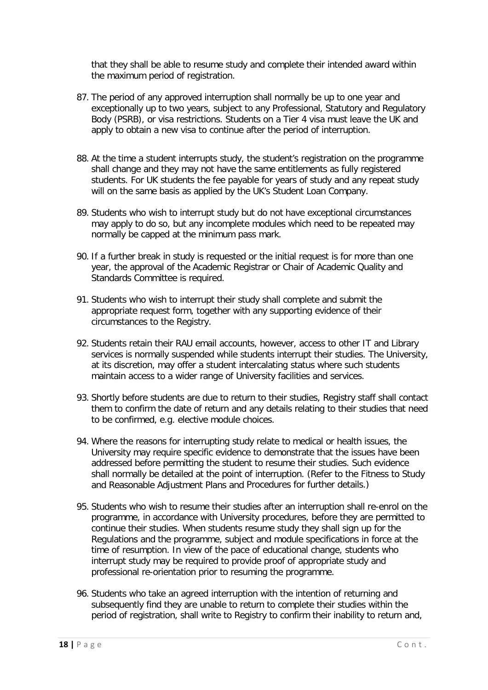that they shall be able to resume study and complete their intended award within the maximum period of registration.

- 87. The period of any approved interruption shall normally be up to one year and exceptionally up to two years, subject to any Professional, Statutory and Regulatory Body (PSRB), or visa restrictions. Students on a Tier 4 visa must leave the UK and apply to obtain a new visa to continue after the period of interruption.
- 88. At the time a student interrupts study, the student's registration on the programme shall change and they may not have the same entitlements as fully registered students. For UK students the fee payable for years of study and any repeat study will on the same basis as applied by the UK's Student Loan Company.
- 89. Students who wish to interrupt study but do not have exceptional circumstances may apply to do so, but any incomplete modules which need to be repeated may normally be capped at the minimum pass mark.
- 90. If a further break in study is requested or the initial request is for more than one year, the approval of the Academic Registrar or Chair of Academic Quality and Standards Committee is required.
- 91. Students who wish to interrupt their study shall complete and submit the appropriate request form, together with any supporting evidence of their circumstances to the Registry.
- 92. Students retain their RAU email accounts, however, access to other IT and Library services is normally suspended while students interrupt their studies. The University, at its discretion, may offer a student intercalating status where such students maintain access to a wider range of University facilities and services.
- 93. Shortly before students are due to return to their studies, Registry staff shall contact them to confirm the date of return and any details relating to their studies that need to be confirmed, e.g. elective module choices.
- 94. Where the reasons for interrupting study relate to medical or health issues, the University may require specific evidence to demonstrate that the issues have been addressed before permitting the student to resume their studies. Such evidence shall normally be detailed at the point of interruption. (Refer to the Fitness to Study and Reasonable Adjustment Plans and Procedures for further details.)
- 95. Students who wish to resume their studies after an interruption shall re-enrol on the programme, in accordance with University procedures, before they are permitted to continue their studies. When students resume study they shall sign up for the Regulations and the programme, subject and module specifications in force at the time of resumption. In view of the pace of educational change, students who interrupt study may be required to provide proof of appropriate study and professional re-orientation prior to resuming the programme.
- 96. Students who take an agreed interruption with the intention of returning and subsequently find they are unable to return to complete their studies within the period of registration, shall write to Registry to confirm their inability to return and,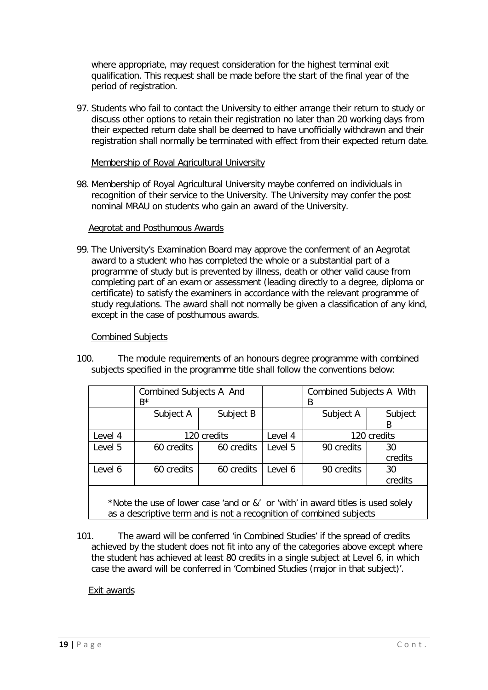where appropriate, may request consideration for the highest terminal exit qualification. This request shall be made before the start of the final year of the period of registration.

97. Students who fail to contact the University to either arrange their return to study or discuss other options to retain their registration no later than 20 working days from their expected return date shall be deemed to have unofficially withdrawn and their registration shall normally be terminated with effect from their expected return date.

#### Membership of Royal Agricultural University

<span id="page-18-0"></span>98. Membership of Royal Agricultural University maybe conferred on individuals in recognition of their service to the University. The University may confer the post nominal MRAU on students who gain an award of the University.

#### Aegrotat and Posthumous Awards

<span id="page-18-1"></span>99. The University's Examination Board may approve the conferment of an Aegrotat award to a student who has completed the whole or a substantial part of a programme of study but is prevented by illness, death or other valid cause from completing part of an exam or assessment (leading directly to a degree, diploma or certificate) to satisfy the examiners in accordance with the relevant programme of study regulations. The award shall not normally be given a classification of any kind, except in the case of posthumous awards.

#### Combined Subjects

<span id="page-18-2"></span>100. The module requirements of an honours degree programme with combined subjects specified in the programme title shall follow the conventions below:

|                                                                                 | Combined Subjects A And<br>$R^*$ |            |         | Combined Subjects A With<br>B |         |
|---------------------------------------------------------------------------------|----------------------------------|------------|---------|-------------------------------|---------|
|                                                                                 | Subject A                        | Subject B  |         | Subject A                     | Subject |
|                                                                                 |                                  |            |         |                               | B       |
| Level 4                                                                         | 120 credits<br>Level 4           |            |         | 120 credits                   |         |
| Level 5                                                                         | 60 credits                       | 60 credits | Level 5 | 90 credits                    | 30      |
|                                                                                 |                                  |            |         |                               | credits |
| Level 6                                                                         | 60 credits                       | 60 credits | Level 6 | 90 credits                    | 30      |
|                                                                                 |                                  |            |         |                               | credits |
|                                                                                 |                                  |            |         |                               |         |
| *Note the use of lower case 'and or &' or 'with' in award titles is used solely |                                  |            |         |                               |         |
| as a descriptive term and is not a recognition of combined subjects             |                                  |            |         |                               |         |

101. The award will be conferred 'in Combined Studies' if the spread of credits achieved by the student does not fit into any of the categories above except where the student has achieved at least 80 credits in a single subject at Level 6, in which case the award will be conferred in 'Combined Studies (major in that subject)'.

#### <span id="page-18-3"></span>Exit awards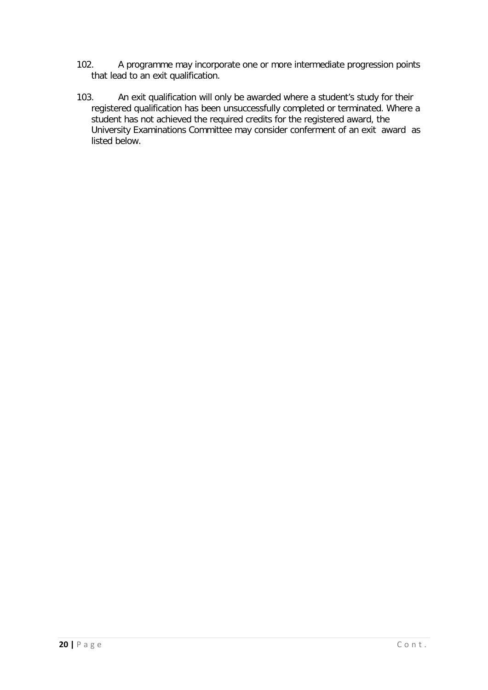- 102. A programme may incorporate one or more intermediate progression points that lead to an exit qualification.
- 103. An exit qualification will only be awarded where a student's study for their registered qualification has been unsuccessfully completed or terminated. Where a student has not achieved the required credits for the registered award, the University Examinations Committee may consider conferment of an exit award as listed below.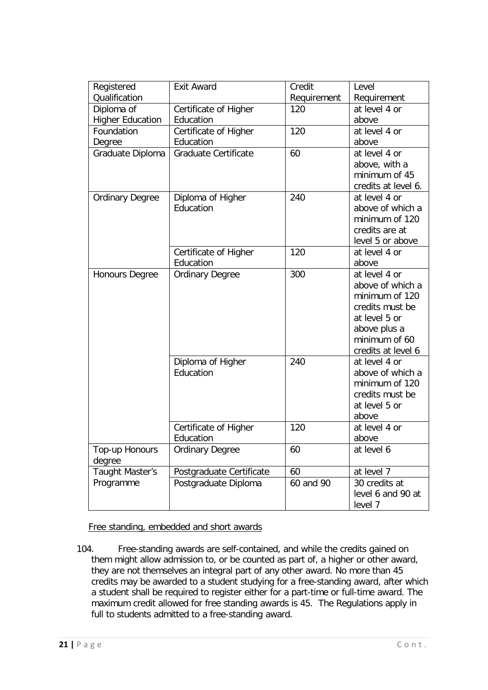| Registered               | <b>Exit Award</b>        | Credit      | Level               |
|--------------------------|--------------------------|-------------|---------------------|
| Qualification            |                          | Requirement | Requirement         |
| Diploma of               | Certificate of Higher    | 120         | at level 4 or       |
| <b>Higher Education</b>  | Education                |             | above               |
| Foundation               | Certificate of Higher    | 120         | at level 4 or       |
| Degree                   | Education                |             | above               |
| Graduate Diploma         | Graduate Certificate     | 60          | at level 4 or       |
|                          |                          |             | above, with a       |
|                          |                          |             | minimum of 45       |
|                          |                          |             | credits at level 6. |
| <b>Ordinary Degree</b>   | Diploma of Higher        | 240         | at level 4 or       |
|                          | Education                |             | above of which a    |
|                          |                          |             | minimum of 120      |
|                          |                          |             | credits are at      |
|                          |                          |             | level 5 or above    |
|                          | Certificate of Higher    | 120         | at level 4 or       |
|                          | Education                |             | above               |
| <b>Honours Degree</b>    | <b>Ordinary Degree</b>   | 300         | at level 4 or       |
|                          |                          |             | above of which a    |
|                          |                          |             | minimum of 120      |
|                          |                          |             | credits must be     |
|                          |                          |             | at level 5 or       |
|                          |                          |             | above plus a        |
|                          |                          |             | minimum of 60       |
|                          |                          |             | credits at level 6  |
|                          | Diploma of Higher        | 240         | at level 4 or       |
|                          | Education                |             | above of which a    |
|                          |                          |             | minimum of 120      |
|                          |                          |             | credits must be     |
|                          |                          |             | at level 5 or       |
|                          |                          |             | above               |
|                          | Certificate of Higher    | 120         | at level 4 or       |
|                          | Education                |             | above               |
| Top-up Honours<br>degree | <b>Ordinary Degree</b>   | 60          | at level 6          |
| <b>Taught Master's</b>   | Postgraduate Certificate | 60          | at level 7          |
| Programme                | Postgraduate Diploma     | 60 and 90   | 30 credits at       |
|                          |                          |             | level 6 and 90 at   |
|                          |                          |             | level 7             |

Free standing, embedded and short awards

<span id="page-20-0"></span>104. Free-standing awards are self-contained, and while the credits gained on them might allow admission to, or be counted as part of, a higher or other award, they are not themselves an integral part of any other award. No more than 45 credits may be awarded to a student studying for a free-standing award, after which a student shall be required to register either for a part-time or full-time award. The maximum credit allowed for free standing awards is 45. The Regulations apply in full to students admitted to a free-standing award.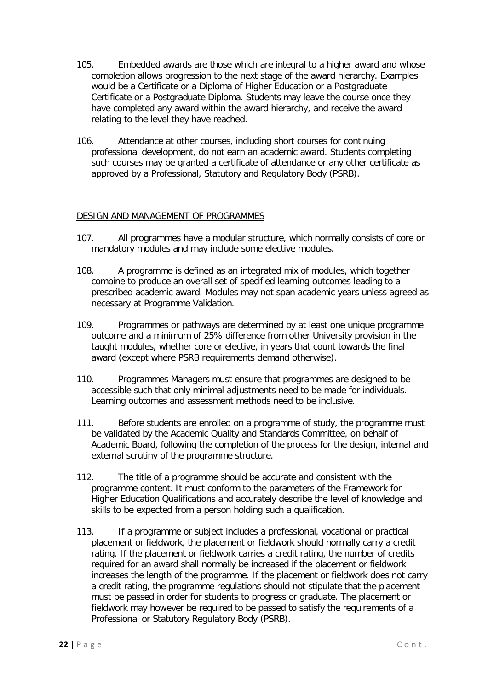- 105. Embedded awards are those which are integral to a higher award and whose completion allows progression to the next stage of the award hierarchy. Examples would be a Certificate or a Diploma of Higher Education or a Postgraduate Certificate or a Postgraduate Diploma. Students may leave the course once they have completed any award within the award hierarchy, and receive the award relating to the level they have reached.
- 106. Attendance at other courses, including short courses for continuing professional development, do not earn an academic award. Students completing such courses may be granted a certificate of attendance or any other certificate as approved by a Professional, Statutory and Regulatory Body (PSRB).

# <span id="page-21-0"></span>DESIGN AND MANAGEMENT OF PROGRAMMES

- 107. All programmes have a modular structure, which normally consists of core or mandatory modules and may include some elective modules.
- 108. A programme is defined as an integrated mix of modules, which together combine to produce an overall set of specified learning outcomes leading to a prescribed academic award. Modules may not span academic years unless agreed as necessary at Programme Validation.
- 109. Programmes or pathways are determined by at least one unique programme outcome and a minimum of 25% difference from other University provision in the taught modules, whether core or elective, in years that count towards the final award (except where PSRB requirements demand otherwise).
- 110. Programmes Managers must ensure that programmes are designed to be accessible such that only minimal adjustments need to be made for individuals. Learning outcomes and assessment methods need to be inclusive.
- 111. Before students are enrolled on a programme of study, the programme must be validated by the Academic Quality and Standards Committee, on behalf of Academic Board, following the completion of the process for the design, internal and external scrutiny of the programme structure.
- 112. The title of a programme should be accurate and consistent with the programme content. It must conform to the parameters of the Framework for Higher Education Qualifications and accurately describe the level of knowledge and skills to be expected from a person holding such a qualification.
- 113. If a programme or subject includes a professional, vocational or practical placement or fieldwork, the placement or fieldwork should normally carry a credit rating. If the placement or fieldwork carries a credit rating, the number of credits required for an award shall normally be increased if the placement or fieldwork increases the length of the programme. If the placement or fieldwork does not carry a credit rating, the programme regulations should not stipulate that the placement must be passed in order for students to progress or graduate. The placement or fieldwork may however be required to be passed to satisfy the requirements of a Professional or Statutory Regulatory Body (PSRB).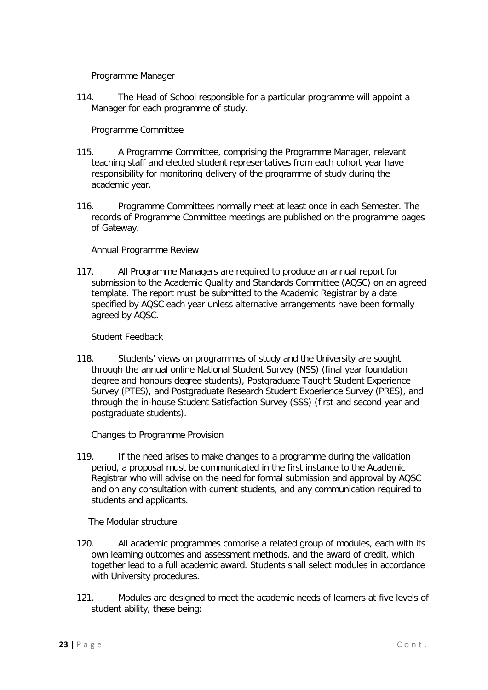Programme Manager

<span id="page-22-0"></span>114. The Head of School responsible for a particular programme will appoint a Manager for each programme of study.

Programme Committee

- <span id="page-22-1"></span>115. A Programme Committee, comprising the Programme Manager, relevant teaching staff and elected student representatives from each cohort year have responsibility for monitoring delivery of the programme of study during the academic year.
- 116. Programme Committees normally meet at least once in each Semester. The records of Programme Committee meetings are published on the programme pages of Gateway.

Annual Programme Review

<span id="page-22-2"></span>117. All Programme Managers are required to produce an annual report for submission to the Academic Quality and Standards Committee (AQSC) on an agreed template. The report must be submitted to the Academic Registrar by a date specified by AQSC each year unless alternative arrangements have been formally agreed by AQSC.

Student Feedback

<span id="page-22-3"></span>118. Students' views on programmes of study and the University are sought through the annual online National Student Survey (NSS) (final year foundation degree and honours degree students), Postgraduate Taught Student Experience Survey (PTES), and Postgraduate Research Student Experience Survey (PRES), and through the in-house Student Satisfaction Survey (SSS) (first and second year and postgraduate students).

Changes to Programme Provision

<span id="page-22-4"></span>119. If the need arises to make changes to a programme during the validation period, a proposal must be communicated in the first instance to the Academic Registrar who will advise on the need for formal submission and approval by AQSC and on any consultation with current students, and any communication required to students and applicants.

# The Modular structure

- <span id="page-22-5"></span>120. All academic programmes comprise a related group of modules, each with its own learning outcomes and assessment methods, and the award of credit, which together lead to a full academic award. Students shall select modules in accordance with University procedures.
- 121. Modules are designed to meet the academic needs of learners at five levels of student ability, these being: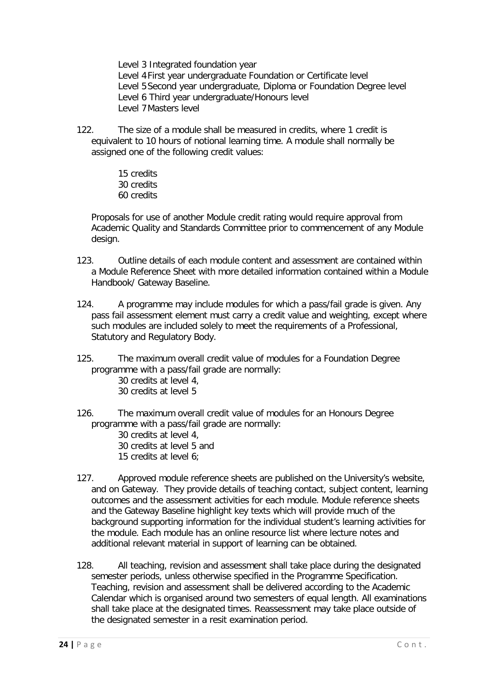Level 3 Integrated foundation year Level 4First year undergraduate Foundation or Certificate level Level 5Second year undergraduate, Diploma or Foundation Degree level Level 6 Third year undergraduate/Honours level Level 7Masters level

122. The size of a module shall be measured in credits, where 1 credit is equivalent to 10 hours of notional learning time. A module shall normally be assigned one of the following credit values:

> 15 credits 30 credits 60 credits

Proposals for use of another Module credit rating would require approval from Academic Quality and Standards Committee prior to commencement of any Module design.

- 123. Outline details of each module content and assessment are contained within a Module Reference Sheet with more detailed information contained within a Module Handbook/ Gateway Baseline.
- 124. A programme may include modules for which a pass/fail grade is given. Any pass fail assessment element must carry a credit value and weighting, except where such modules are included solely to meet the requirements of a Professional, Statutory and Regulatory Body.
- 125. The maximum overall credit value of modules for a Foundation Degree programme with a pass/fail grade are normally:
	- 30 credits at level 4, 30 credits at level 5
- 126. The maximum overall credit value of modules for an Honours Degree programme with a pass/fail grade are normally:
	- 30 credits at level 4, 30 credits at level 5 and 15 credits at level 6;
- 127. Approved module reference sheets are published on the University's website, and on Gateway. They provide details of teaching contact, subject content, learning outcomes and the assessment activities for each module. Module reference sheets and the Gateway Baseline highlight key texts which will provide much of the background supporting information for the individual student's learning activities for the module. Each module has an online resource list where lecture notes and additional relevant material in support of learning can be obtained.
- 128. All teaching, revision and assessment shall take place during the designated semester periods, unless otherwise specified in the Programme Specification. Teaching, revision and assessment shall be delivered according to the Academic Calendar which is organised around two semesters of equal length. All examinations shall take place at the designated times. Reassessment may take place outside of the designated semester in a resit examination period.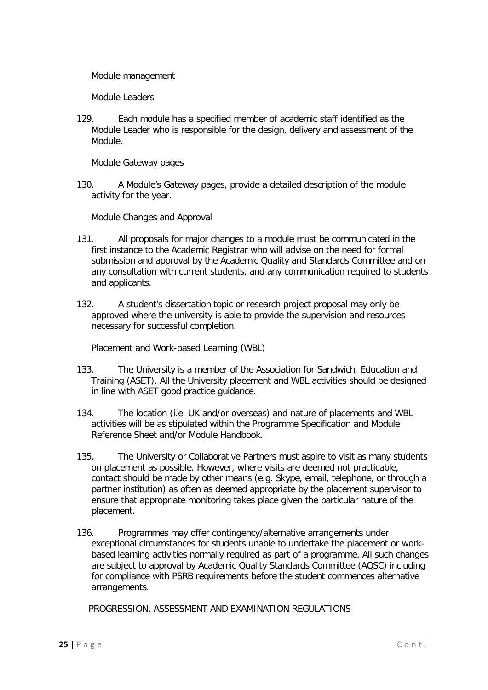#### <span id="page-24-0"></span>Module management

Module Leaders

<span id="page-24-1"></span>129. Each module has a specified member of academic staff identified as the Module Leader who is responsible for the design, delivery and assessment of the Module.

Module Gateway pages

<span id="page-24-2"></span>130. A Module's Gateway pages, provide a detailed description of the module activity for the year.

Module Changes and Approval

- <span id="page-24-3"></span>131. All proposals for major changes to a module must be communicated in the first instance to the Academic Registrar who will advise on the need for formal submission and approval by the Academic Quality and Standards Committee and on any consultation with current students, and any communication required to students and applicants.
- 132. A student's dissertation topic or research project proposal may only be approved where the university is able to provide the supervision and resources necessary for successful completion.

Placement and Work-based Learning (WBL)

- <span id="page-24-4"></span>133. The University is a member of the Association for Sandwich, Education and Training (ASET). All the University placement and WBL activities should be designed in line with ASET good practice guidance.
- 134. The location (i.e. UK and/or overseas) and nature of placements and WBL activities will be as stipulated within the Programme Specification and Module Reference Sheet and/or Module Handbook.
- 135. The University or Collaborative Partners must aspire to visit as many students on placement as possible. However, where visits are deemed not practicable, contact should be made by other means (e.g. Skype, email, telephone, or through a partner institution) as often as deemed appropriate by the placement supervisor to ensure that appropriate monitoring takes place given the particular nature of the placement.
- 136. Programmes may offer contingency/alternative arrangements under exceptional circumstances for students unable to undertake the placement or workbased learning activities normally required as part of a programme. All such changes are subject to approval by Academic Quality Standards Committee (AQSC) including for compliance with PSRB requirements before the student commences alternative arrangements.

<span id="page-24-5"></span>PROGRESSION, ASSESSMENT AND EXAMINATION REGULATIONS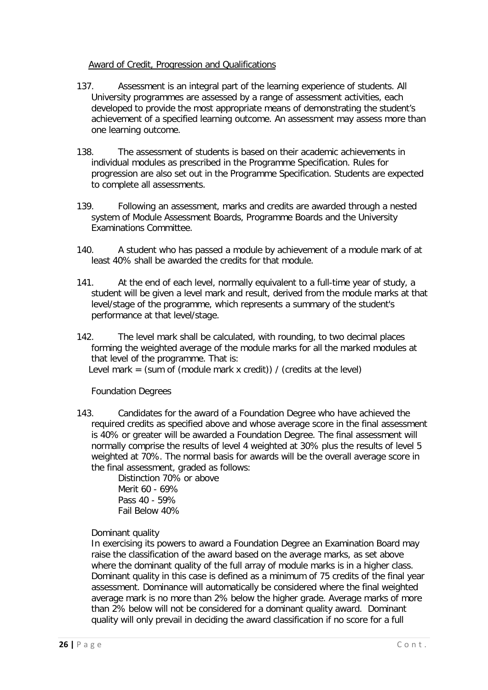# Award of Credit, Progression and Qualifications

- <span id="page-25-0"></span>137. Assessment is an integral part of the learning experience of students. All University programmes are assessed by a range of assessment activities, each developed to provide the most appropriate means of demonstrating the student's achievement of a specified learning outcome. An assessment may assess more than one learning outcome.
- 138. The assessment of students is based on their academic achievements in individual modules as prescribed in the Programme Specification. Rules for progression are also set out in the Programme Specification. Students are expected to complete all assessments.
- 139. Following an assessment, marks and credits are awarded through a nested system of Module Assessment Boards, Programme Boards and the University Examinations Committee.
- 140. A student who has passed a module by achievement of a module mark of at least 40% shall be awarded the credits for that module.
- 141. At the end of each level, normally equivalent to a full-time year of study, a student will be given a level mark and result, derived from the module marks at that level/stage of the programme, which represents a summary of the student's performance at that level/stage.
- 142. The level mark shall be calculated, with rounding, to two decimal places forming the weighted average of the module marks for all the marked modules at that level of the programme. That is:

Level mark = (sum of (module mark x credit)) / (credits at the level)

Foundation Degrees

<span id="page-25-1"></span>143. Candidates for the award of a Foundation Degree who have achieved the required credits as specified above and whose average score in the final assessment is 40% or greater will be awarded a Foundation Degree. The final assessment will normally comprise the results of level 4 weighted at 30% plus the results of level 5 weighted at 70%. The normal basis for awards will be the overall average score in the final assessment, graded as follows:

Distinction 70% or above Merit 60 - 69% Pass 40 - 59% Fail Below 40%

Dominant quality

In exercising its powers to award a Foundation Degree an Examination Board may raise the classification of the award based on the average marks, as set above where the dominant quality of the full array of module marks is in a higher class. Dominant quality in this case is defined as a minimum of 75 credits of the final year assessment. Dominance will automatically be considered where the final weighted average mark is no more than 2% below the higher grade. Average marks of more than 2% below will not be considered for a dominant quality award. Dominant quality will only prevail in deciding the award classification if no score for a full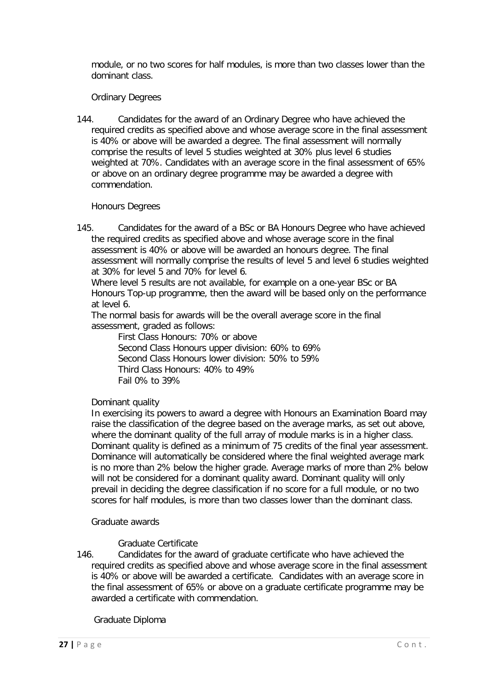module, or no two scores for half modules, is more than two classes lower than the dominant class.

#### Ordinary Degrees

<span id="page-26-0"></span>144. Candidates for the award of an Ordinary Degree who have achieved the required credits as specified above and whose average score in the final assessment is 40% or above will be awarded a degree. The final assessment will normally comprise the results of level 5 studies weighted at 30% plus level 6 studies weighted at 70%. Candidates with an average score in the final assessment of 65% or above on an ordinary degree programme may be awarded a degree with commendation.

#### Honours Degrees

<span id="page-26-1"></span>145. Candidates for the award of a BSc or BA Honours Degree who have achieved the required credits as specified above and whose average score in the final assessment is 40% or above will be awarded an honours degree. The final assessment will normally comprise the results of level 5 and level 6 studies weighted at 30% for level 5 and 70% for level 6.

Where level 5 results are not available, for example on a one-year BSc or BA Honours Top-up programme, then the award will be based only on the performance at level 6.

The normal basis for awards will be the overall average score in the final assessment, graded as follows:

First Class Honours: 70% or above Second Class Honours upper division: 60% to 69% Second Class Honours lower division: 50% to 59% Third Class Honours: 40% to 49% Fail 0% to 39%

#### Dominant quality

In exercising its powers to award a degree with Honours an Examination Board may raise the classification of the degree based on the average marks, as set out above, where the dominant quality of the full array of module marks is in a higher class. Dominant quality is defined as a minimum of 75 credits of the final year assessment. Dominance will automatically be considered where the final weighted average mark is no more than 2% below the higher grade. Average marks of more than 2% below will not be considered for a dominant quality award. Dominant quality will only prevail in deciding the degree classification if no score for a full module, or no two scores for half modules, is more than two classes lower than the dominant class.

#### <span id="page-26-2"></span>Graduate awards

#### Graduate Certificate

146. Candidates for the award of graduate certificate who have achieved the required credits as specified above and whose average score in the final assessment is 40% or above will be awarded a certificate. Candidates with an average score in the final assessment of 65% or above on a graduate certificate programme may be awarded a certificate with commendation.

#### Graduate Diploma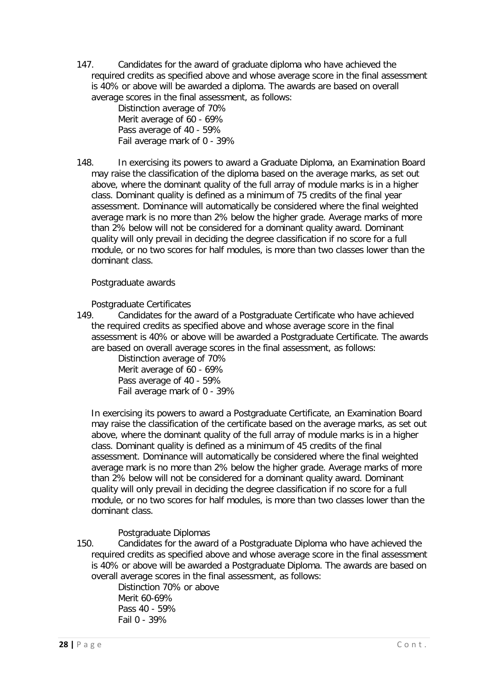147. Candidates for the award of graduate diploma who have achieved the required credits as specified above and whose average score in the final assessment is 40% or above will be awarded a diploma. The awards are based on overall average scores in the final assessment, as follows:

Distinction average of 70% Merit average of 60 - 69% Pass average of 40 - 59% Fail average mark of 0 - 39%

148. In exercising its powers to award a Graduate Diploma, an Examination Board may raise the classification of the diploma based on the average marks, as set out above, where the dominant quality of the full array of module marks is in a higher class. Dominant quality is defined as a minimum of 75 credits of the final year assessment. Dominance will automatically be considered where the final weighted average mark is no more than 2% below the higher grade. Average marks of more than 2% below will not be considered for a dominant quality award. Dominant quality will only prevail in deciding the degree classification if no score for a full module, or no two scores for half modules, is more than two classes lower than the dominant class.

<span id="page-27-0"></span>Postgraduate awards

Postgraduate Certificates

149. Candidates for the award of a Postgraduate Certificate who have achieved the required credits as specified above and whose average score in the final assessment is 40% or above will be awarded a Postgraduate Certificate. The awards are based on overall average scores in the final assessment, as follows:

Distinction average of 70% Merit average of 60 - 69% Pass average of 40 - 59% Fail average mark of 0 - 39%

In exercising its powers to award a Postgraduate Certificate, an Examination Board may raise the classification of the certificate based on the average marks, as set out above, where the dominant quality of the full array of module marks is in a higher class. Dominant quality is defined as a minimum of 45 credits of the final assessment. Dominance will automatically be considered where the final weighted average mark is no more than 2% below the higher grade. Average marks of more than 2% below will not be considered for a dominant quality award. Dominant quality will only prevail in deciding the degree classification if no score for a full module, or no two scores for half modules, is more than two classes lower than the dominant class.

# Postgraduate Diplomas

150. Candidates for the award of a Postgraduate Diploma who have achieved the required credits as specified above and whose average score in the final assessment is 40% or above will be awarded a Postgraduate Diploma. The awards are based on overall average scores in the final assessment, as follows:

Distinction 70% or above Merit 60-69% Pass 40 - 59% Fail 0 - 39%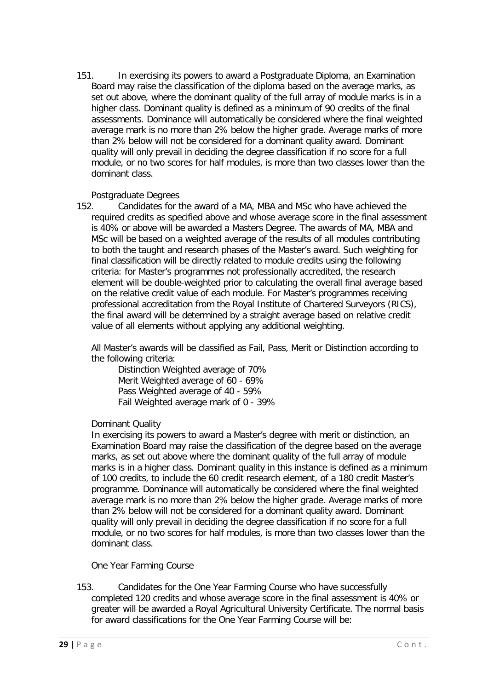151. In exercising its powers to award a Postgraduate Diploma, an Examination Board may raise the classification of the diploma based on the average marks, as set out above, where the dominant quality of the full array of module marks is in a higher class. Dominant quality is defined as a minimum of 90 credits of the final assessments. Dominance will automatically be considered where the final weighted average mark is no more than 2% below the higher grade. Average marks of more than 2% below will not be considered for a dominant quality award. Dominant quality will only prevail in deciding the degree classification if no score for a full module, or no two scores for half modules, is more than two classes lower than the dominant class.

#### Postgraduate Degrees

152. Candidates for the award of a MA, MBA and MSc who have achieved the required credits as specified above and whose average score in the final assessment is 40% or above will be awarded a Masters Degree. The awards of MA, MBA and MSc will be based on a weighted average of the results of all modules contributing to both the taught and research phases of the Master's award. Such weighting for final classification will be directly related to module credits using the following criteria: for Master's programmes not professionally accredited, the research element will be double-weighted prior to calculating the overall final average based on the relative credit value of each module. For Master's programmes receiving professional accreditation from the Royal Institute of Chartered Surveyors (RICS), the final award will be determined by a straight average based on relative credit value of all elements without applying any additional weighting.

All Master's awards will be classified as Fail, Pass, Merit or Distinction according to the following criteria:

Distinction Weighted average of 70% Merit Weighted average of 60 - 69% Pass Weighted average of 40 - 59% Fail Weighted average mark of 0 - 39%

#### Dominant Quality

In exercising its powers to award a Master's degree with merit or distinction, an Examination Board may raise the classification of the degree based on the average marks, as set out above where the dominant quality of the full array of module marks is in a higher class. Dominant quality in this instance is defined as a minimum of 100 credits, to include the 60 credit research element, of a 180 credit Master's programme. Dominance will automatically be considered where the final weighted average mark is no more than 2% below the higher grade. Average marks of more than 2% below will not be considered for a dominant quality award. Dominant quality will only prevail in deciding the degree classification if no score for a full module, or no two scores for half modules, is more than two classes lower than the dominant class.

One Year Farming Course

<span id="page-28-0"></span>153. Candidates for the One Year Farming Course who have successfully completed 120 credits and whose average score in the final assessment is 40% or greater will be awarded a Royal Agricultural University Certificate. The normal basis for award classifications for the One Year Farming Course will be: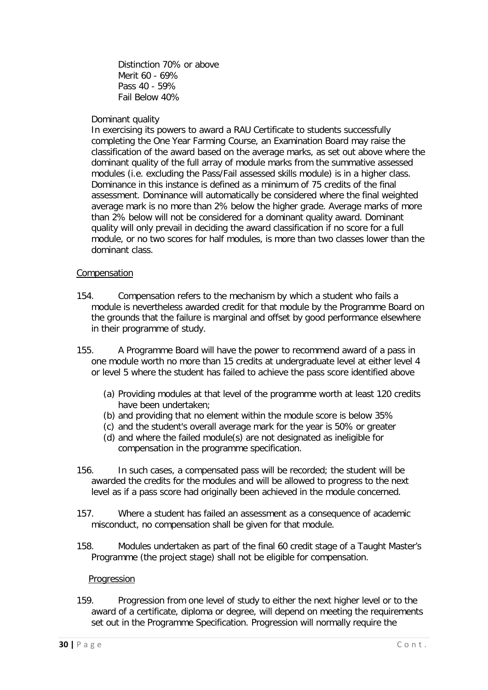Distinction 70% or above Merit 60 - 69% Pass 40 - 59% Fail Below 40%

#### Dominant quality

In exercising its powers to award a RAU Certificate to students successfully completing the One Year Farming Course, an Examination Board may raise the classification of the award based on the average marks, as set out above where the dominant quality of the full array of module marks from the summative assessed modules (i.e. excluding the Pass/Fail assessed skills module) is in a higher class. Dominance in this instance is defined as a minimum of 75 credits of the final assessment. Dominance will automatically be considered where the final weighted average mark is no more than 2% below the higher grade. Average marks of more than 2% below will not be considered for a dominant quality award. Dominant quality will only prevail in deciding the award classification if no score for a full module, or no two scores for half modules, is more than two classes lower than the dominant class.

#### <span id="page-29-0"></span>Compensation

- 154. Compensation refers to the mechanism by which a student who fails a module is nevertheless awarded credit for that module by the Programme Board on the grounds that the failure is marginal and offset by good performance elsewhere in their programme of study.
- 155. A Programme Board will have the power to recommend award of a pass in one module worth no more than 15 credits at undergraduate level at either level 4 or level 5 where the student has failed to achieve the pass score identified above
	- (a) Providing modules at that level of the programme worth at least 120 credits have been undertaken;
	- (b) and providing that no element within the module score is below 35%
	- (c) and the student's overall average mark for the year is 50% or greater
	- (d) and where the failed module(s) are not designated as ineligible for compensation in the programme specification.
- 156. In such cases, a compensated pass will be recorded; the student will be awarded the credits for the modules and will be allowed to progress to the next level as if a pass score had originally been achieved in the module concerned.
- 157. Where a student has failed an assessment as a consequence of academic misconduct, no compensation shall be given for that module.
- 158. Modules undertaken as part of the final 60 credit stage of a Taught Master's Programme (the project stage) shall not be eligible for compensation.

#### Progression

<span id="page-29-1"></span>159. Progression from one level of study to either the next higher level or to the award of a certificate, diploma or degree, will depend on meeting the requirements set out in the Programme Specification. Progression will normally require the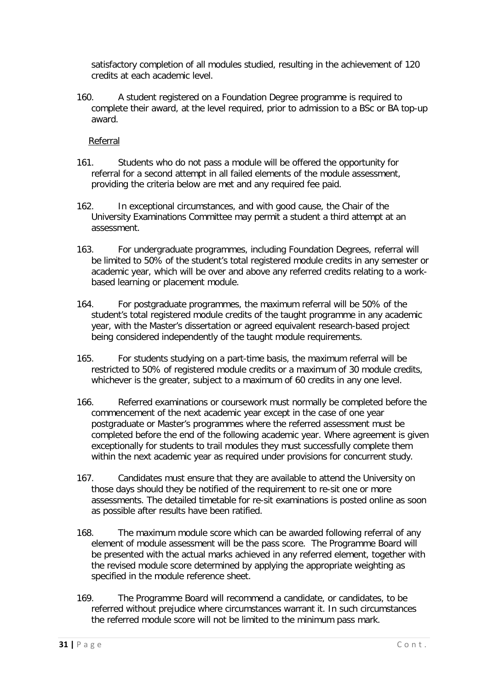satisfactory completion of all modules studied, resulting in the achievement of 120 credits at each academic level.

160. A student registered on a Foundation Degree programme is required to complete their award, at the level required, prior to admission to a BSc or BA top-up award.

Referral

- <span id="page-30-0"></span>161. Students who do not pass a module will be offered the opportunity for referral for a second attempt in all failed elements of the module assessment, providing the criteria below are met and any required fee paid.
- 162. In exceptional circumstances, and with good cause, the Chair of the University Examinations Committee may permit a student a third attempt at an assessment.
- 163. For undergraduate programmes, including Foundation Degrees, referral will be limited to 50% of the student's total registered module credits in any semester or academic year, which will be over and above any referred credits relating to a workbased learning or placement module.
- 164. For postgraduate programmes, the maximum referral will be 50% of the student's total registered module credits of the taught programme in any academic year, with the Master's dissertation or agreed equivalent research-based project being considered independently of the taught module requirements.
- 165. For students studying on a part-time basis, the maximum referral will be restricted to 50% of registered module credits or a maximum of 30 module credits, whichever is the greater, subject to a maximum of 60 credits in any one level.
- 166. Referred examinations or coursework must normally be completed before the commencement of the next academic year except in the case of one year postgraduate or Master's programmes where the referred assessment must be completed before the end of the following academic year. Where agreement is given exceptionally for students to trail modules they must successfully complete them within the next academic year as required under provisions for concurrent study.
- 167. Candidates must ensure that they are available to attend the University on those days should they be notified of the requirement to re-sit one or more assessments. The detailed timetable for re-sit examinations is posted online as soon as possible after results have been ratified.
- 168. The maximum module score which can be awarded following referral of any element of module assessment will be the pass score. The Programme Board will be presented with the actual marks achieved in any referred element, together with the revised module score determined by applying the appropriate weighting as specified in the module reference sheet.
- 169. The Programme Board will recommend a candidate, or candidates, to be referred without prejudice where circumstances warrant it. In such circumstances the referred module score will not be limited to the minimum pass mark.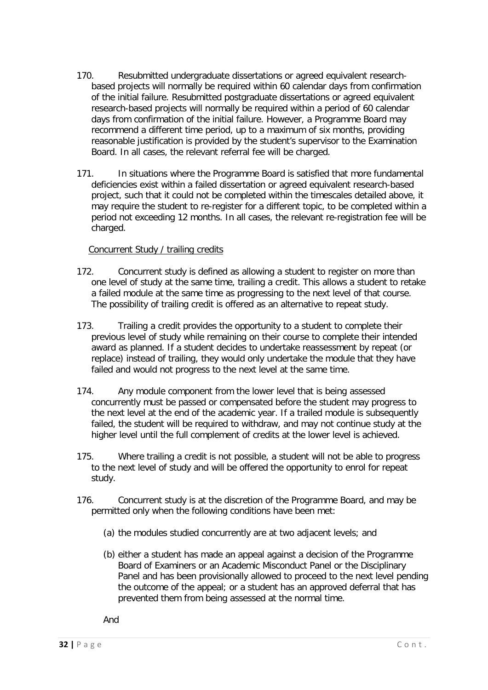- 170. Resubmitted undergraduate dissertations or agreed equivalent researchbased projects will normally be required within 60 calendar days from confirmation of the initial failure. Resubmitted postgraduate dissertations or agreed equivalent research-based projects will normally be required within a period of 60 calendar days from confirmation of the initial failure. However, a Programme Board may recommend a different time period, up to a maximum of six months, providing reasonable justification is provided by the student's supervisor to the Examination Board. In all cases, the relevant referral fee will be charged.
- 171. In situations where the Programme Board is satisfied that more fundamental deficiencies exist within a failed dissertation or agreed equivalent research-based project, such that it could not be completed within the timescales detailed above, it may require the student to re-register for a different topic, to be completed within a period not exceeding 12 months. In all cases, the relevant re-registration fee will be charged.

# Concurrent Study / trailing credits

- <span id="page-31-0"></span>172. Concurrent study is defined as allowing a student to register on more than one level of study at the same time, trailing a credit. This allows a student to retake a failed module at the same time as progressing to the next level of that course. The possibility of trailing credit is offered as an alternative to repeat study.
- 173. Trailing a credit provides the opportunity to a student to complete their previous level of study while remaining on their course to complete their intended award as planned. If a student decides to undertake reassessment by repeat (or replace) instead of trailing, they would only undertake the module that they have failed and would not progress to the next level at the same time.
- 174. Any module component from the lower level that is being assessed concurrently must be passed or compensated before the student may progress to the next level at the end of the academic year. If a trailed module is subsequently failed, the student will be required to withdraw, and may not continue study at the higher level until the full complement of credits at the lower level is achieved.
- 175. Where trailing a credit is not possible, a student will not be able to progress to the next level of study and will be offered the opportunity to enrol for repeat study.
- 176. Concurrent study is at the discretion of the Programme Board, and may be permitted only when the following conditions have been met:
	- (a) the modules studied concurrently are at two adjacent levels; and
	- (b) either a student has made an appeal against a decision of the Programme Board of Examiners or an Academic Misconduct Panel or the Disciplinary Panel and has been provisionally allowed to proceed to the next level pending the outcome of the appeal; or a student has an approved deferral that has prevented them from being assessed at the normal time.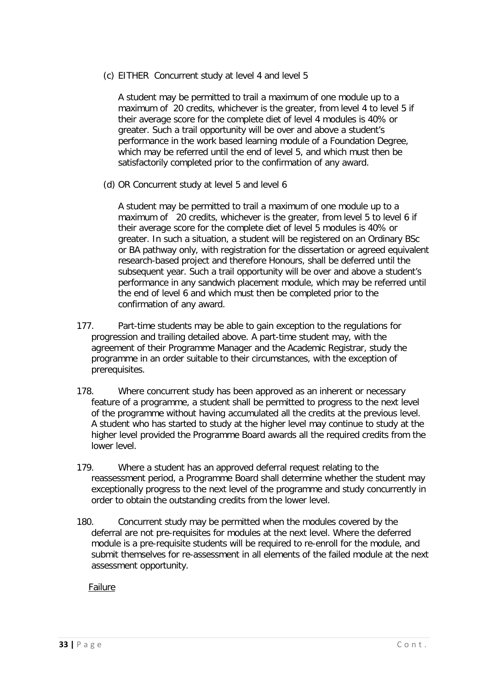(c) EITHER Concurrent study at level 4 and level 5

A student may be permitted to trail a maximum of one module up to a maximum of 20 credits, whichever is the greater, from level 4 to level 5 if their average score for the complete diet of level 4 modules is 40% or greater. Such a trail opportunity will be over and above a student's performance in the work based learning module of a Foundation Degree, which may be referred until the end of level 5, and which must then be satisfactorily completed prior to the confirmation of any award.

(d) OR Concurrent study at level 5 and level 6

A student may be permitted to trail a maximum of one module up to a maximum of 20 credits, whichever is the greater, from level 5 to level 6 if their average score for the complete diet of level 5 modules is 40% or greater. In such a situation, a student will be registered on an Ordinary BSc or BA pathway only, with registration for the dissertation or agreed equivalent research-based project and therefore Honours, shall be deferred until the subsequent year. Such a trail opportunity will be over and above a student's performance in any sandwich placement module, which may be referred until the end of level 6 and which must then be completed prior to the confirmation of any award.

- 177. Part-time students may be able to gain exception to the regulations for progression and trailing detailed above. A part-time student may, with the agreement of their Programme Manager and the Academic Registrar, study the programme in an order suitable to their circumstances, with the exception of prerequisites.
- 178. Where concurrent study has been approved as an inherent or necessary feature of a programme, a student shall be permitted to progress to the next level of the programme without having accumulated all the credits at the previous level. A student who has started to study at the higher level may continue to study at the higher level provided the Programme Board awards all the required credits from the lower level.
- 179. Where a student has an approved deferral request relating to the reassessment period, a Programme Board shall determine whether the student may exceptionally progress to the next level of the programme and study concurrently in order to obtain the outstanding credits from the lower level.
- 180. Concurrent study may be permitted when the modules covered by the deferral are not pre-requisites for modules at the next level. Where the deferred module is a pre-requisite students will be required to re-enroll for the module, and submit themselves for re-assessment in all elements of the failed module at the next assessment opportunity.

<span id="page-32-0"></span>Failure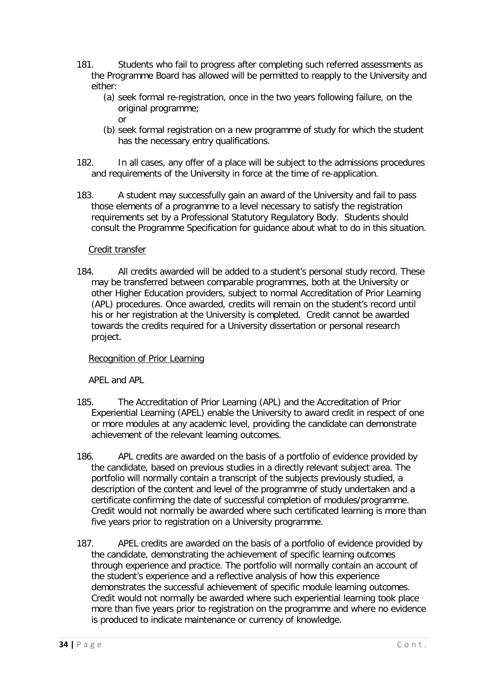- 181. Students who fail to progress after completing such referred assessments as the Programme Board has allowed will be permitted to reapply to the University and either:
	- (a) seek formal re-registration, once in the two years following failure, on the original programme; or
	- (b) seek formal registration on a new programme of study for which the student has the necessary entry qualifications.
- 182. In all cases, any offer of a place will be subject to the admissions procedures and requirements of the University in force at the time of re-application.
- 183. A student may successfully gain an award of the University and fail to pass those elements of a programme to a level necessary to satisfy the registration requirements set by a Professional Statutory Regulatory Body. Students should consult the Programme Specification for guidance about what to do in this situation.

# Credit transfer

<span id="page-33-0"></span>184. All credits awarded will be added to a student's personal study record. These may be transferred between comparable programmes, both at the University or other Higher Education providers, subject to normal Accreditation of Prior Learning (APL) procedures. Once awarded, credits will remain on the student's record until his or her registration at the University is completed. Credit cannot be awarded towards the credits required for a University dissertation or personal research project.

#### <span id="page-33-1"></span>Recognition of Prior Learning

APEL and APL

- <span id="page-33-2"></span>185. The Accreditation of Prior Learning (APL) and the Accreditation of Prior Experiential Learning (APEL) enable the University to award credit in respect of one or more modules at any academic level, providing the candidate can demonstrate achievement of the relevant learning outcomes.
- 186. APL credits are awarded on the basis of a portfolio of evidence provided by the candidate, based on previous studies in a directly relevant subject area. The portfolio will normally contain a transcript of the subjects previously studied, a description of the content and level of the programme of study undertaken and a certificate confirming the date of successful completion of modules/programme. Credit would not normally be awarded where such certificated learning is more than five years prior to registration on a University programme.
- 187. APEL credits are awarded on the basis of a portfolio of evidence provided by the candidate, demonstrating the achievement of specific learning outcomes through experience and practice. The portfolio will normally contain an account of the student's experience and a reflective analysis of how this experience demonstrates the successful achievement of specific module learning outcomes. Credit would not normally be awarded where such experiential learning took place more than five years prior to registration on the programme and where no evidence is produced to indicate maintenance or currency of knowledge.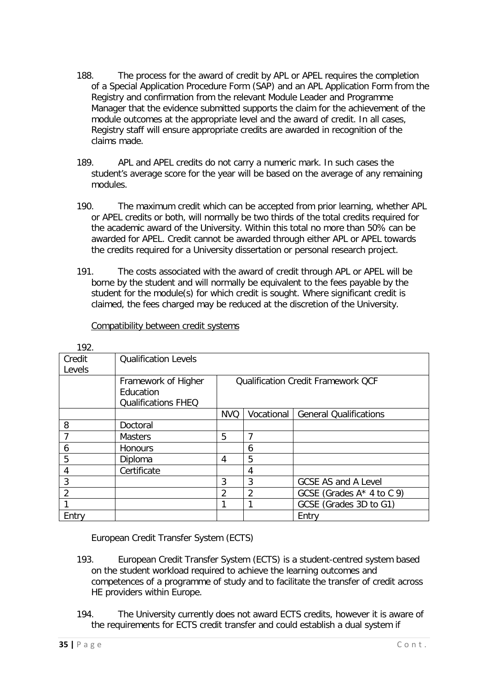- 188. The process for the award of credit by APL or APEL requires the completion of a Special Application Procedure Form (SAP) and an APL Application Form from the Registry and confirmation from the relevant Module Leader and Programme Manager that the evidence submitted supports the claim for the achievement of the module outcomes at the appropriate level and the award of credit. In all cases, Registry staff will ensure appropriate credits are awarded in recognition of the claims made.
- 189. APL and APEL credits do not carry a numeric mark. In such cases the student's average score for the year will be based on the average of any remaining modules.
- 190. The maximum credit which can be accepted from prior learning, whether APL or APEL credits or both, will normally be two thirds of the total credits required for the academic award of the University. Within this total no more than 50% can be awarded for APEL. Credit cannot be awarded through either APL or APEL towards the credits required for a University dissertation or personal research project.
- 191. The costs associated with the award of credit through APL or APEL will be borne by the student and will normally be equivalent to the fees payable by the student for the module(s) for which credit is sought. Where significant credit is claimed, the fees charged may be reduced at the discretion of the University.

Compatibility between credit systems

<span id="page-34-0"></span>

| 192.           |                             |                                           |                |                               |  |
|----------------|-----------------------------|-------------------------------------------|----------------|-------------------------------|--|
| Credit         | <b>Qualification Levels</b> |                                           |                |                               |  |
| Levels         |                             |                                           |                |                               |  |
|                | Framework of Higher         | <b>Qualification Credit Framework QCF</b> |                |                               |  |
|                | Education                   |                                           |                |                               |  |
|                | <b>Qualifications FHEQ</b>  |                                           |                |                               |  |
|                |                             | <b>NVQ</b>                                | Vocational     | <b>General Qualifications</b> |  |
| 8              | Doctoral                    |                                           |                |                               |  |
| 7              | <b>Masters</b>              | 5                                         | $\overline{7}$ |                               |  |
| 6              | <b>Honours</b>              |                                           | 6              |                               |  |
| 5              | Diploma                     | 4                                         | 5              |                               |  |
| 4              | Certificate                 |                                           | 4              |                               |  |
| 3              |                             | 3                                         | 3              | <b>GCSE AS and A Level</b>    |  |
| $\overline{2}$ |                             | 2                                         | 2              | GCSE (Grades $A^*$ 4 to C 9)  |  |
|                |                             |                                           |                | GCSE (Grades 3D to G1)        |  |
| Entry          |                             |                                           |                | Entry                         |  |

 $102$ 

European Credit Transfer System (ECTS)

- <span id="page-34-1"></span>193. European Credit Transfer System (ECTS) is a student-centred system based on the student workload required to achieve the learning outcomes and competences of a programme of study and to facilitate the transfer of credit across HE providers within Europe.
- 194. The University currently does not award ECTS credits, however it is aware of the requirements for ECTS credit transfer and could establish a dual system if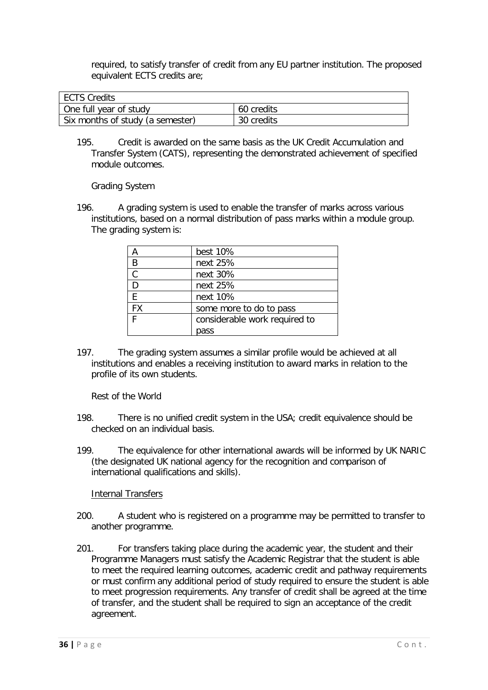required, to satisfy transfer of credit from any EU partner institution. The proposed equivalent ECTS credits are;

| ECTS Credits                     |            |
|----------------------------------|------------|
| One full year of study           | 60 credits |
| Six months of study (a semester) | 30 credits |

195. Credit is awarded on the same basis as the UK Credit Accumulation and Transfer System (CATS), representing the demonstrated achievement of specified module outcomes.

Grading System

<span id="page-35-0"></span>196. A grading system is used to enable the transfer of marks across various institutions, based on a normal distribution of pass marks within a module group. The grading system is:

|           | best 10%                      |
|-----------|-------------------------------|
| B         | next 25%                      |
| C         | next 30%                      |
| D         | next 25%                      |
| E         | next 10%                      |
| <b>FX</b> | some more to do to pass       |
| Е         | considerable work required to |
|           | pass                          |

197. The grading system assumes a similar profile would be achieved at all institutions and enables a receiving institution to award marks in relation to the profile of its own students.

Rest of the World

- <span id="page-35-1"></span>198. There is no unified credit system in the USA; credit equivalence should be checked on an individual basis.
- 199. The equivalence for other international awards will be informed by UK NARIC (the designated UK national agency for the recognition and comparison of international qualifications and skills).

Internal Transfers

- <span id="page-35-2"></span>200. A student who is registered on a programme may be permitted to transfer to another programme.
- 201. For transfers taking place during the academic year, the student and their Programme Managers must satisfy the Academic Registrar that the student is able to meet the required learning outcomes, academic credit and pathway requirements or must confirm any additional period of study required to ensure the student is able to meet progression requirements. Any transfer of credit shall be agreed at the time of transfer, and the student shall be required to sign an acceptance of the credit agreement.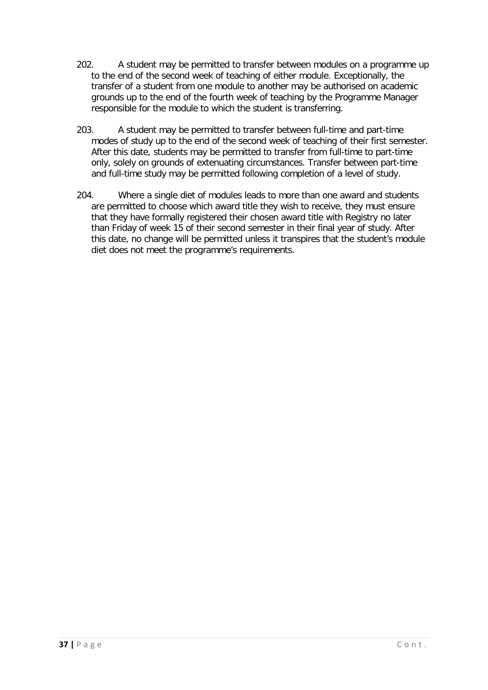- 202. A student may be permitted to transfer between modules on a programme up to the end of the second week of teaching of either module. Exceptionally, the transfer of a student from one module to another may be authorised on academic grounds up to the end of the fourth week of teaching by the Programme Manager responsible for the module to which the student is transferring.
- 203. A student may be permitted to transfer between full-time and part-time modes of study up to the end of the second week of teaching of their first semester. After this date, students may be permitted to transfer from full-time to part-time only, solely on grounds of extenuating circumstances. Transfer between part-time and full-time study may be permitted following completion of a level of study.
- 204. Where a single diet of modules leads to more than one award and students are permitted to choose which award title they wish to receive, they must ensure that they have formally registered their chosen award title with Registry no later than Friday of week 15 of their second semester in their final year of study. After this date, no change will be permitted unless it transpires that the student's module diet does not meet the programme's requirements.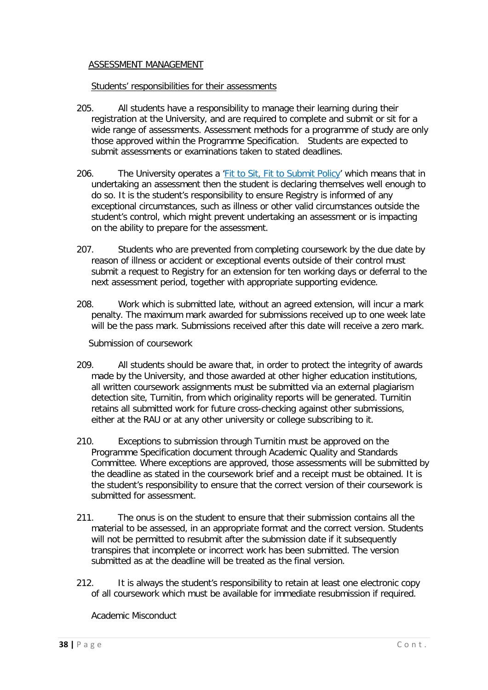#### <span id="page-37-0"></span>ASSESSMENT MANAGEMENT

#### Students' responsibilities for their assessments

- <span id="page-37-1"></span>205. All students have a responsibility to manage their learning during their registration at the University, and are required to complete and submit or sit for a wide range of assessments. Assessment methods for a programme of study are only those approved within the Programme Specification. Students are expected to submit assessments or examinations taken to stated deadlines.
- 206. The University operates a '*Fit to Sit, Fit to Submit Policy'* which means that in undertaking an assessment then the student is declaring themselves well enough to do so. It is the student's responsibility to ensure Registry is informed of any exceptional circumstances, such as illness or other valid circumstances outside the student's control, which might prevent undertaking an assessment or is impacting on the ability to prepare for the assessment.
- 207. Students who are prevented from completing coursework by the due date by reason of illness or accident or exceptional events outside of their control must submit a request to Registry for an extension for ten working days or deferral to the next assessment period, together with appropriate supporting evidence.
- 208. Work which is submitted late, without an agreed extension, will incur a mark penalty. The maximum mark awarded for submissions received up to one week late will be the pass mark. Submissions received after this date will receive a zero mark.

Submission of coursework

- <span id="page-37-2"></span>209. All students should be aware that, in order to protect the integrity of awards made by the University, and those awarded at other higher education institutions, all written coursework assignments must be submitted via an external plagiarism detection site, Turnitin, from which originality reports will be generated. Turnitin retains all submitted work for future cross-checking against other submissions, either at the RAU or at any other university or college subscribing to it.
- 210. Exceptions to submission through Turnitin must be approved on the Programme Specification document through Academic Quality and Standards Committee. Where exceptions are approved, those assessments will be submitted by the deadline as stated in the coursework brief and a receipt must be obtained. It is the student's responsibility to ensure that the correct version of their coursework is submitted for assessment.
- 211. The onus is on the student to ensure that their submission contains all the material to be assessed, in an appropriate format and the correct version. Students will not be permitted to resubmit after the submission date if it subsequently transpires that incomplete or incorrect work has been submitted. The version submitted as at the deadline will be treated as the final version.
- 212. It is always the student's responsibility to retain at least one electronic copy of all coursework which must be available for immediate resubmission if required.

<span id="page-37-3"></span>Academic Misconduct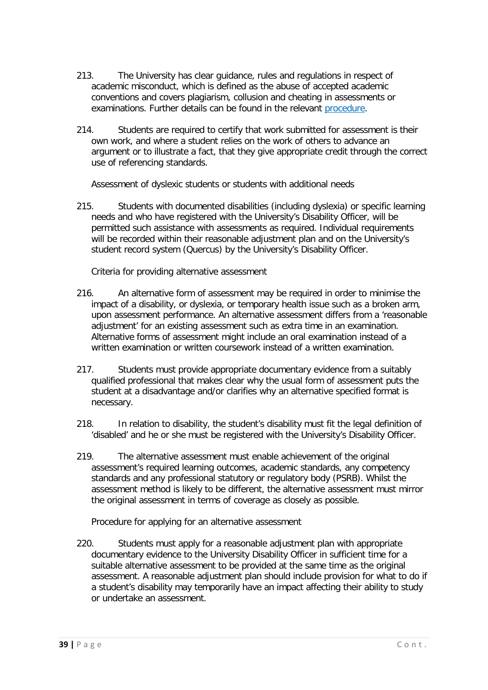- 213. The University has clear guidance, rules and regulations in respect of academic misconduct, which is defined as the abuse of accepted academic conventions and covers plagiarism, collusion and cheating in assessments or examinations. Further details can be found in the relevant [procedure.](https://res.rau.ac.uk/docs/www/policies/Academic-misconduct.pdf)
- 214. Students are required to certify that work submitted for assessment is their own work, and where a student relies on the work of others to advance an argument or to illustrate a fact, that they give appropriate credit through the correct use of referencing standards.

Assessment of dyslexic students or students with additional needs

<span id="page-38-0"></span>215. Students with documented disabilities (including dyslexia) or specific learning needs and who have registered with the University's Disability Officer, will be permitted such assistance with assessments as required. Individual requirements will be recorded within their reasonable adjustment plan and on the University's student record system (Quercus) by the University's Disability Officer.

Criteria for providing alternative assessment

- <span id="page-38-1"></span>216. An alternative form of assessment may be required in order to minimise the impact of a disability, or dyslexia, or temporary health issue such as a broken arm, upon assessment performance. An alternative assessment differs from a 'reasonable adjustment' for an existing assessment such as extra time in an examination. Alternative forms of assessment might include an oral examination instead of a written examination or written coursework instead of a written examination.
- 217. Students must provide appropriate documentary evidence from a suitably qualified professional that makes clear why the usual form of assessment puts the student at a disadvantage and/or clarifies why an alternative specified format is necessary.
- 218. In relation to disability, the student's disability must fit the legal definition of 'disabled' and he or she must be registered with the University's Disability Officer.
- 219. The alternative assessment must enable achievement of the original assessment's required learning outcomes, academic standards, any competency standards and any professional statutory or regulatory body (PSRB). Whilst the assessment method is likely to be different, the alternative assessment must mirror the original assessment in terms of coverage as closely as possible.

Procedure for applying for an alternative assessment

<span id="page-38-2"></span>220. Students must apply for a reasonable adjustment plan with appropriate documentary evidence to the University Disability Officer in sufficient time for a suitable alternative assessment to be provided at the same time as the original assessment. A reasonable adjustment plan should include provision for what to do if a student's disability may temporarily have an impact affecting their ability to study or undertake an assessment.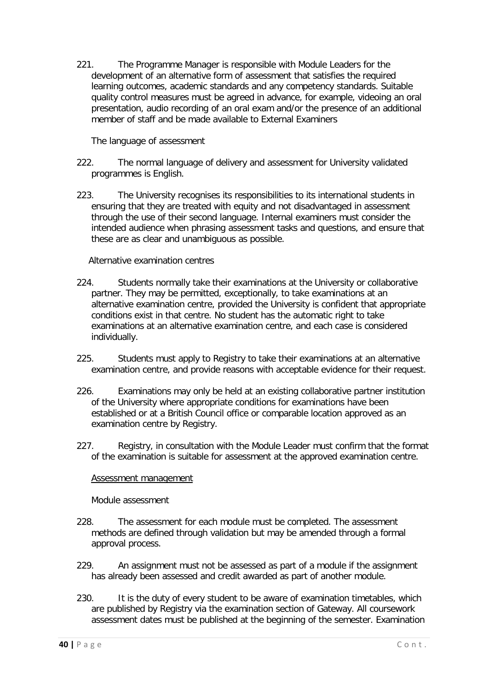221. The Programme Manager is responsible with Module Leaders for the development of an alternative form of assessment that satisfies the required learning outcomes, academic standards and any competency standards. Suitable quality control measures must be agreed in advance, for example, videoing an oral presentation, audio recording of an oral exam and/or the presence of an additional member of staff and be made available to External Examiners

The language of assessment

- <span id="page-39-0"></span>222. The normal language of delivery and assessment for University validated programmes is English.
- 223. The University recognises its responsibilities to its international students in ensuring that they are treated with equity and not disadvantaged in assessment through the use of their second language. Internal examiners must consider the intended audience when phrasing assessment tasks and questions, and ensure that these are as clear and unambiguous as possible.

Alternative examination centres

- <span id="page-39-1"></span>224. Students normally take their examinations at the University or collaborative partner. They may be permitted, exceptionally, to take examinations at an alternative examination centre, provided the University is confident that appropriate conditions exist in that centre. No student has the automatic right to take examinations at an alternative examination centre, and each case is considered individually.
- 225. Students must apply to Registry to take their examinations at an alternative examination centre, and provide reasons with acceptable evidence for their request.
- 226. Examinations may only be held at an existing collaborative partner institution of the University where appropriate conditions for examinations have been established or at a British Council office or comparable location approved as an examination centre by Registry.
- 227. Registry, in consultation with the Module Leader must confirm that the format of the examination is suitable for assessment at the approved examination centre.

# <span id="page-39-2"></span>Assessment management

Module assessment

- <span id="page-39-3"></span>228. The assessment for each module must be completed. The assessment methods are defined through validation but may be amended through a formal approval process.
- 229. An assignment must not be assessed as part of a module if the assignment has already been assessed and credit awarded as part of another module.
- 230. It is the duty of every student to be aware of examination timetables, which are published by Registry via the examination section of Gateway. All coursework assessment dates must be published at the beginning of the semester. Examination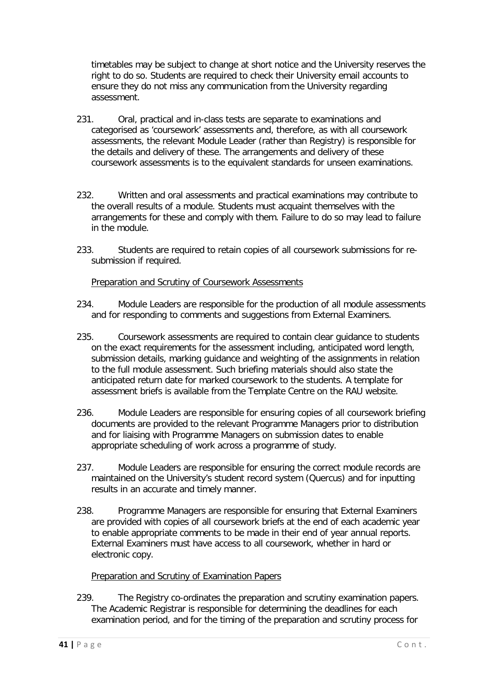timetables may be subject to change at short notice and the University reserves the right to do so. Students are required to check their University email accounts to ensure they do not miss any communication from the University regarding assessment.

- 231. Oral, practical and in-class tests are separate to examinations and categorised as 'coursework' assessments and, therefore, as with all coursework assessments, the relevant Module Leader (rather than Registry) is responsible for the details and delivery of these. The arrangements and delivery of these coursework assessments is to the equivalent standards for unseen examinations.
- 232. Written and oral assessments and practical examinations may contribute to the overall results of a module. Students must acquaint themselves with the arrangements for these and comply with them. Failure to do so may lead to failure in the module.
- 233. Students are required to retain copies of all coursework submissions for resubmission if required.

# Preparation and Scrutiny of Coursework Assessments

- <span id="page-40-0"></span>234. Module Leaders are responsible for the production of all module assessments and for responding to comments and suggestions from External Examiners.
- 235. Coursework assessments are required to contain clear guidance to students on the exact requirements for the assessment including, anticipated word length, submission details, marking guidance and weighting of the assignments in relation to the full module assessment. Such briefing materials should also state the anticipated return date for marked coursework to the students. A template for assessment briefs is available from the Template Centre on the RAU website.
- 236. Module Leaders are responsible for ensuring copies of all coursework briefing documents are provided to the relevant Programme Managers prior to distribution and for liaising with Programme Managers on submission dates to enable appropriate scheduling of work across a programme of study.
- 237. Module Leaders are responsible for ensuring the correct module records are maintained on the University's student record system (Quercus) and for inputting results in an accurate and timely manner.
- 238. Programme Managers are responsible for ensuring that External Examiners are provided with copies of all coursework briefs at the end of each academic year to enable appropriate comments to be made in their end of year annual reports. External Examiners must have access to all coursework, whether in hard or electronic copy.

# Preparation and Scrutiny of Examination Papers

<span id="page-40-1"></span>239. The Registry co-ordinates the preparation and scrutiny examination papers. The Academic Registrar is responsible for determining the deadlines for each examination period, and for the timing of the preparation and scrutiny process for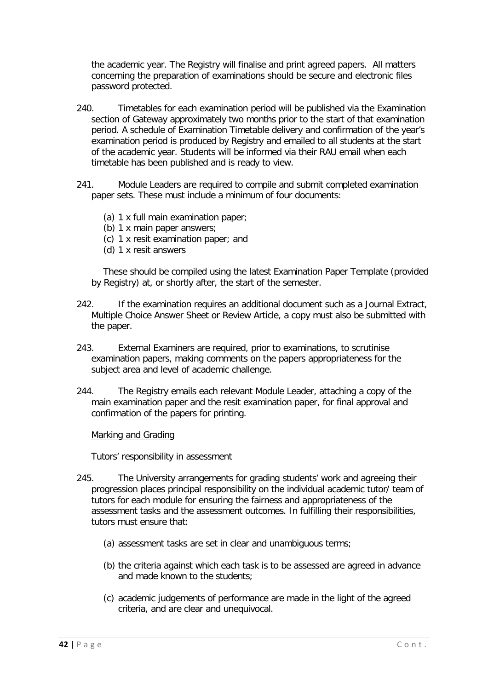the academic year. The Registry will finalise and print agreed papers. All matters concerning the preparation of examinations should be secure and electronic files password protected.

- 240. Timetables for each examination period will be published via the Examination section of Gateway approximately two months prior to the start of that examination period. A schedule of Examination Timetable delivery and confirmation of the year's examination period is produced by Registry and emailed to all students at the start of the academic year. Students will be informed via their RAU email when each timetable has been published and is ready to view.
- 241. Module Leaders are required to compile and submit completed examination paper sets. These must include a minimum of four documents:
	- (a) 1 x full main examination paper;
	- (b) 1 x main paper answers;
	- (c) 1 x resit examination paper; and
	- (d) 1 x resit answers

These should be compiled using the latest Examination Paper Template (provided by Registry) at, or shortly after, the start of the semester.

- 242. If the examination requires an additional document such as a Journal Extract, Multiple Choice Answer Sheet or Review Article, a copy must also be submitted with the paper.
- 243. External Examiners are required, prior to examinations, to scrutinise examination papers, making comments on the papers appropriateness for the subject area and level of academic challenge.
- 244. The Registry emails each relevant Module Leader, attaching a copy of the main examination paper and the resit examination paper, for final approval and confirmation of the papers for printing.

<span id="page-41-0"></span>Marking and Grading

Tutors' responsibility in assessment

- <span id="page-41-1"></span>245. The University arrangements for grading students' work and agreeing their progression places principal responsibility on the individual academic tutor/ team of tutors for each module for ensuring the fairness and appropriateness of the assessment tasks and the assessment outcomes. In fulfilling their responsibilities, tutors must ensure that:
	- (a) assessment tasks are set in clear and unambiguous terms;
	- (b) the criteria against which each task is to be assessed are agreed in advance and made known to the students;
	- (c) academic judgements of performance are made in the light of the agreed criteria, and are clear and unequivocal.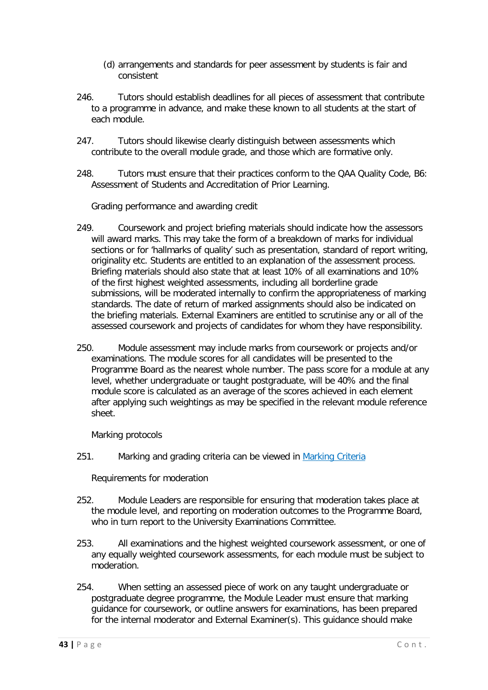- (d) arrangements and standards for peer assessment by students is fair and consistent
- 246. Tutors should establish deadlines for all pieces of assessment that contribute to a programme in advance, and make these known to all students at the start of each module.
- 247. Tutors should likewise clearly distinguish between assessments which contribute to the overall module grade, and those which are formative only.
- 248. Tutors must ensure that their practices conform to the QAA Quality Code, B6: Assessment of Students and Accreditation of Prior Learning.

Grading performance and awarding credit

- <span id="page-42-0"></span>249. Coursework and project briefing materials should indicate how the assessors will award marks. This may take the form of a breakdown of marks for individual sections or for 'hallmarks of quality' such as presentation, standard of report writing, originality etc. Students are entitled to an explanation of the assessment process. Briefing materials should also state that at least 10% of all examinations and 10% of the first highest weighted assessments, including all borderline grade submissions, will be moderated internally to confirm the appropriateness of marking standards. The date of return of marked assignments should also be indicated on the briefing materials. External Examiners are entitled to scrutinise any or all of the assessed coursework and projects of candidates for whom they have responsibility.
- 250. Module assessment may include marks from coursework or projects and/or examinations. The module scores for all candidates will be presented to the Programme Board as the nearest whole number. The pass score for a module at any level, whether undergraduate or taught postgraduate, will be 40% and the final module score is calculated as an average of the scores achieved in each element after applying such weightings as may be specified in the relevant module reference sheet.

Marking protocols

<span id="page-42-2"></span><span id="page-42-1"></span>251. Marking and grading criteria can be viewed in [Marking Criteria](http://dk5y2dlrctiai.cloudfront.net/2017/07/26/15/40/18/962/2017Markingcriteria.pdf)

Requirements for moderation

- 252. Module Leaders are responsible for ensuring that moderation takes place at the module level, and reporting on moderation outcomes to the Programme Board, who in turn report to the University Examinations Committee.
- 253. All examinations and the highest weighted coursework assessment, or one of any equally weighted coursework assessments, for each module must be subject to moderation.
- 254. When setting an assessed piece of work on any taught undergraduate or postgraduate degree programme, the Module Leader must ensure that marking guidance for coursework, or outline answers for examinations, has been prepared for the internal moderator and External Examiner(s). This guidance should make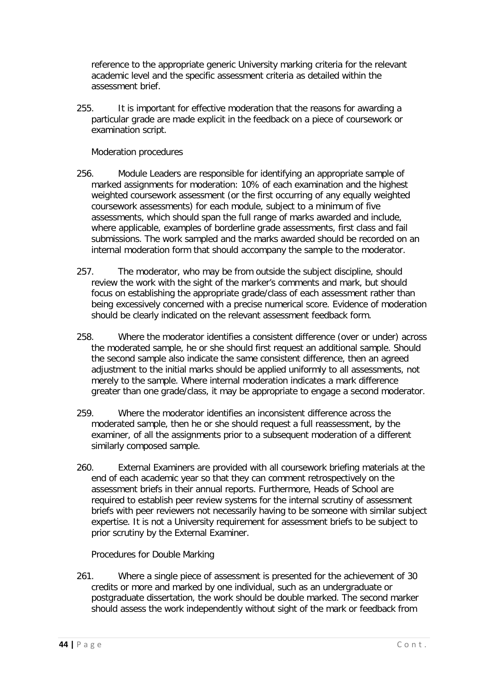reference to the appropriate generic University marking criteria for the relevant academic level and the specific assessment criteria as detailed within the assessment brief.

255. It is important for effective moderation that the reasons for awarding a particular grade are made explicit in the feedback on a piece of coursework or examination script.

Moderation procedures

- <span id="page-43-0"></span>256. Module Leaders are responsible for identifying an appropriate sample of marked assignments for moderation: 10% of each examination and the highest weighted coursework assessment (or the first occurring of any equally weighted coursework assessments) for each module, subject to a minimum of five assessments, which should span the full range of marks awarded and include, where applicable, examples of borderline grade assessments, first class and fail submissions. The work sampled and the marks awarded should be recorded on an internal moderation form that should accompany the sample to the moderator.
- 257. The moderator, who may be from outside the subject discipline, should review the work with the sight of the marker's comments and mark, but should focus on establishing the appropriate grade/class of each assessment rather than being excessively concerned with a precise numerical score. Evidence of moderation should be clearly indicated on the relevant assessment feedback form.
- 258. Where the moderator identifies a consistent difference (over or under) across the moderated sample, he or she should first request an additional sample. Should the second sample also indicate the same consistent difference, then an agreed adjustment to the initial marks should be applied uniformly to all assessments, not merely to the sample. Where internal moderation indicates a mark difference greater than one grade/class, it may be appropriate to engage a second moderator.
- 259. Where the moderator identifies an inconsistent difference across the moderated sample, then he or she should request a full reassessment, by the examiner, of all the assignments prior to a subsequent moderation of a different similarly composed sample.
- 260. External Examiners are provided with all coursework briefing materials at the end of each academic year so that they can comment retrospectively on the assessment briefs in their annual reports. Furthermore, Heads of School are required to establish peer review systems for the internal scrutiny of assessment briefs with peer reviewers not necessarily having to be someone with similar subject expertise. It is not a University requirement for assessment briefs to be subject to prior scrutiny by the External Examiner.

Procedures for Double Marking

<span id="page-43-1"></span>261. Where a single piece of assessment is presented for the achievement of 30 credits or more and marked by one individual, such as an undergraduate or postgraduate dissertation, the work should be double marked. The second marker should assess the work independently without sight of the mark or feedback from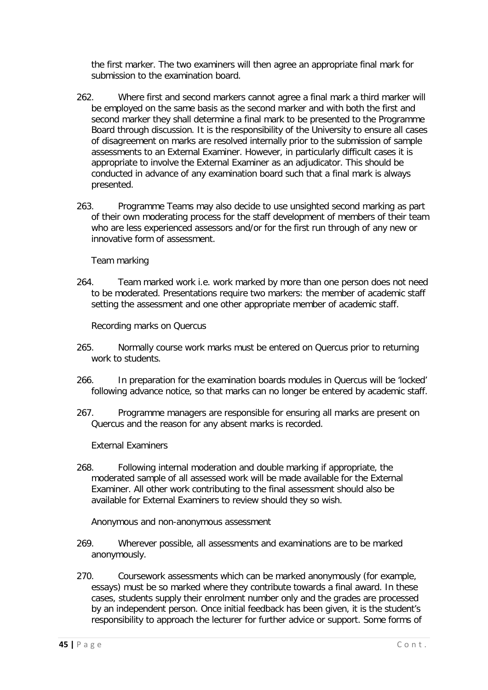the first marker. The two examiners will then agree an appropriate final mark for submission to the examination board.

- 262. Where first and second markers cannot agree a final mark a third marker will be employed on the same basis as the second marker and with both the first and second marker they shall determine a final mark to be presented to the Programme Board through discussion. It is the responsibility of the University to ensure all cases of disagreement on marks are resolved internally prior to the submission of sample assessments to an External Examiner. However, in particularly difficult cases it is appropriate to involve the External Examiner as an adjudicator. This should be conducted in advance of any examination board such that a final mark is always presented.
- 263. Programme Teams may also decide to use unsighted second marking as part of their own moderating process for the staff development of members of their team who are less experienced assessors and/or for the first run through of any new or innovative form of assessment.

Team marking

<span id="page-44-0"></span>264. Team marked work i.e. work marked by more than one person does not need to be moderated. Presentations require two markers: the member of academic staff setting the assessment and one other appropriate member of academic staff.

Recording marks on Quercus

- <span id="page-44-1"></span>265. Normally course work marks must be entered on Quercus prior to returning work to students.
- 266. In preparation for the examination boards modules in Quercus will be 'locked' following advance notice, so that marks can no longer be entered by academic staff.
- 267. Programme managers are responsible for ensuring all marks are present on Quercus and the reason for any absent marks is recorded.

External Examiners

<span id="page-44-2"></span>268. Following internal moderation and double marking if appropriate, the moderated sample of all assessed work will be made available for the External Examiner. All other work contributing to the final assessment should also be available for External Examiners to review should they so wish.

Anonymous and non-anonymous assessment

- <span id="page-44-3"></span>269. Wherever possible, all assessments and examinations are to be marked anonymously.
- 270. Coursework assessments which can be marked anonymously (for example, essays) must be so marked where they contribute towards a final award. In these cases, students supply their enrolment number only and the grades are processed by an independent person. Once initial feedback has been given, it is the student's responsibility to approach the lecturer for further advice or support. Some forms of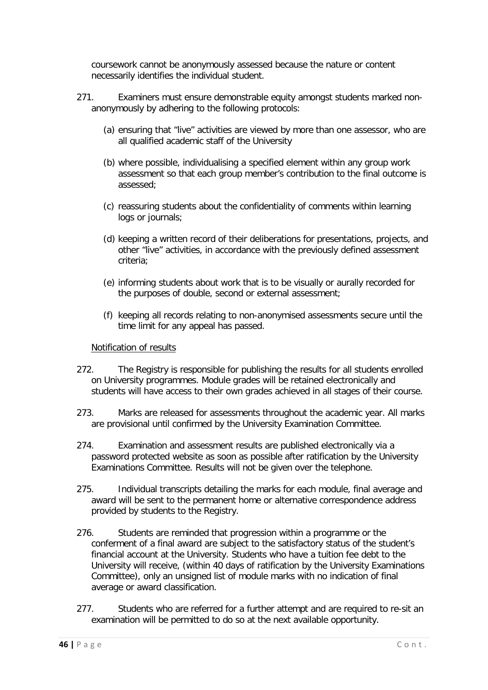coursework cannot be anonymously assessed because the nature or content necessarily identifies the individual student.

- 271. Examiners must ensure demonstrable equity amongst students marked nonanonymously by adhering to the following protocols:
	- (a) ensuring that "live" activities are viewed by more than one assessor, who are all qualified academic staff of the University
	- (b) where possible, individualising a specified element within any group work assessment so that each group member's contribution to the final outcome is assessed;
	- (c) reassuring students about the confidentiality of comments within learning logs or journals;
	- (d) keeping a written record of their deliberations for presentations, projects, and other "live" activities, in accordance with the previously defined assessment criteria;
	- (e) informing students about work that is to be visually or aurally recorded for the purposes of double, second or external assessment;
	- (f) keeping all records relating to non-anonymised assessments secure until the time limit for any appeal has passed.

#### Notification of results

- <span id="page-45-0"></span>272. The Registry is responsible for publishing the results for all students enrolled on University programmes. Module grades will be retained electronically and students will have access to their own grades achieved in all stages of their course.
- 273. Marks are released for assessments throughout the academic year. All marks are provisional until confirmed by the University Examination Committee.
- 274. Examination and assessment results are published electronically via a password protected website as soon as possible after ratification by the University Examinations Committee. Results will not be given over the telephone.
- 275. Individual transcripts detailing the marks for each module, final average and award will be sent to the permanent home or alternative correspondence address provided by students to the Registry.
- 276. Students are reminded that progression within a programme or the conferment of a final award are subject to the satisfactory status of the student's financial account at the University. Students who have a tuition fee debt to the University will receive, (within 40 days of ratification by the University Examinations Committee), only an unsigned list of module marks with no indication of final average or award classification.
- 277. Students who are referred for a further attempt and are required to re-sit an examination will be permitted to do so at the next available opportunity.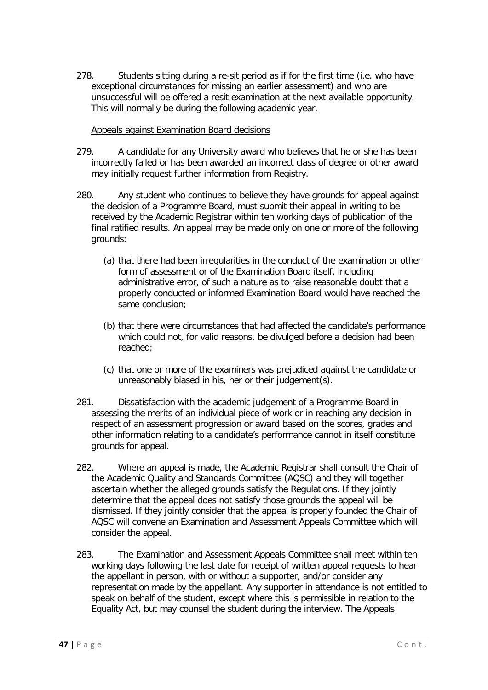278. Students sitting during a re-sit period as if for the first time (i.e. who have exceptional circumstances for missing an earlier assessment) and who are unsuccessful will be offered a resit examination at the next available opportunity. This will normally be during the following academic year.

# Appeals against Examination Board decisions

- <span id="page-46-0"></span>279. A candidate for any University award who believes that he or she has been incorrectly failed or has been awarded an incorrect class of degree or other award may initially request further information from Registry.
- 280. Any student who continues to believe they have grounds for appeal against the decision of a Programme Board, must submit their appeal in writing to be received by the Academic Registrar within ten working days of publication of the final ratified results. An appeal may be made only on one or more of the following grounds:
	- (a) that there had been irregularities in the conduct of the examination or other form of assessment or of the Examination Board itself, including administrative error, of such a nature as to raise reasonable doubt that a properly conducted or informed Examination Board would have reached the same conclusion;
	- (b) that there were circumstances that had affected the candidate's performance which could not, for valid reasons, be divulged before a decision had been reached;
	- (c) that one or more of the examiners was prejudiced against the candidate or unreasonably biased in his, her or their judgement(s).
- 281. Dissatisfaction with the academic judgement of a Programme Board in assessing the merits of an individual piece of work or in reaching any decision in respect of an assessment progression or award based on the scores, grades and other information relating to a candidate's performance cannot in itself constitute grounds for appeal.
- 282. Where an appeal is made, the Academic Registrar shall consult the Chair of the Academic Quality and Standards Committee (AQSC) and they will together ascertain whether the alleged grounds satisfy the Regulations. If they jointly determine that the appeal does not satisfy those grounds the appeal will be dismissed. If they jointly consider that the appeal is properly founded the Chair of AQSC will convene an Examination and Assessment Appeals Committee which will consider the appeal.
- 283. The Examination and Assessment Appeals Committee shall meet within ten working days following the last date for receipt of written appeal requests to hear the appellant in person, with or without a supporter, and/or consider any representation made by the appellant. Any supporter in attendance is not entitled to speak on behalf of the student, except where this is permissible in relation to the Equality Act, but may counsel the student during the interview. The Appeals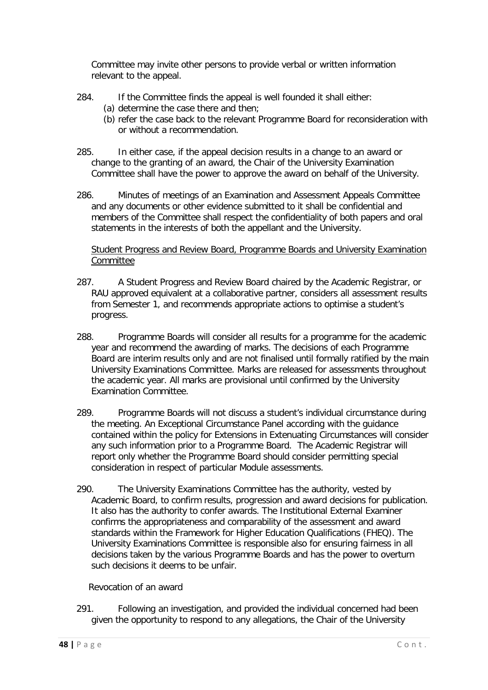Committee may invite other persons to provide verbal or written information relevant to the appeal.

- 284. If the Committee finds the appeal is well founded it shall either:
	- (a) determine the case there and then;
	- (b) refer the case back to the relevant Programme Board for reconsideration with or without a recommendation.
- 285. In either case, if the appeal decision results in a change to an award or change to the granting of an award, the Chair of the University Examination Committee shall have the power to approve the award on behalf of the University.
- 286. Minutes of meetings of an Examination and Assessment Appeals Committee and any documents or other evidence submitted to it shall be confidential and members of the Committee shall respect the confidentiality of both papers and oral statements in the interests of both the appellant and the University.

<span id="page-47-0"></span>Student Progress and Review Board, Programme Boards and University Examination Committee

- 287. A Student Progress and Review Board chaired by the Academic Registrar, or RAU approved equivalent at a collaborative partner, considers all assessment results from Semester 1, and recommends appropriate actions to optimise a student's progress.
- 288. Programme Boards will consider all results for a programme for the academic year and recommend the awarding of marks. The decisions of each Programme Board are interim results only and are not finalised until formally ratified by the main University Examinations Committee. Marks are released for assessments throughout the academic year. All marks are provisional until confirmed by the University Examination Committee.
- 289. Programme Boards will not discuss a student's individual circumstance during the meeting. An Exceptional Circumstance Panel according with the guidance contained within the policy for Extensions in Extenuating Circumstances will consider any such information prior to a Programme Board. The Academic Registrar will report only whether the Programme Board should consider permitting special consideration in respect of particular Module assessments.
- 290. The University Examinations Committee has the authority, vested by Academic Board, to confirm results, progression and award decisions for publication. It also has the authority to confer awards. The Institutional External Examiner confirms the appropriateness and comparability of the assessment and award standards within the Framework for Higher Education Qualifications (FHEQ). The University Examinations Committee is responsible also for ensuring fairness in all decisions taken by the various Programme Boards and has the power to overturn such decisions it deems to be unfair.

# Revocation of an award

<span id="page-47-1"></span>291. Following an investigation, and provided the individual concerned had been given the opportunity to respond to any allegations, the Chair of the University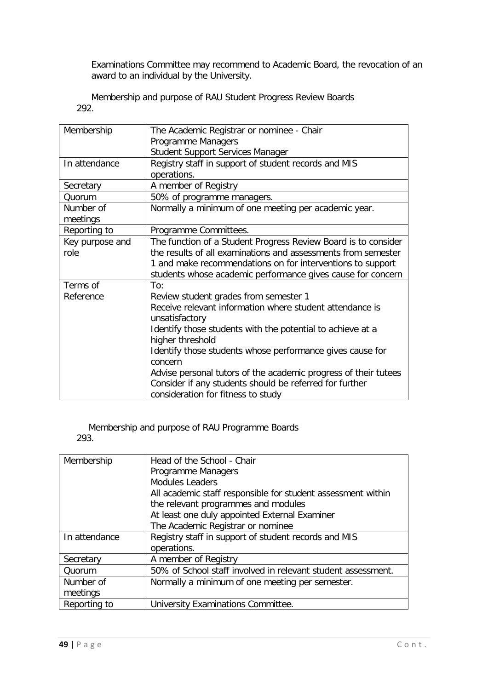Examinations Committee may recommend to Academic Board, the revocation of an award to an individual by the University.

<span id="page-48-0"></span>Membership and purpose of RAU Student Progress Review Boards 292.

| Membership      | The Academic Registrar or nominee - Chair                                      |
|-----------------|--------------------------------------------------------------------------------|
|                 | Programme Managers                                                             |
|                 | Student Support Services Manager                                               |
| In attendance   | Registry staff in support of student records and MIS                           |
|                 | operations.                                                                    |
| Secretary       | A member of Registry                                                           |
| Quorum          | 50% of programme managers.                                                     |
| Number of       | Normally a minimum of one meeting per academic year.                           |
| meetings        |                                                                                |
| Reporting to    | Programme Committees.                                                          |
| Key purpose and | The function of a Student Progress Review Board is to consider                 |
| role            | the results of all examinations and assessments from semester                  |
|                 | 1 and make recommendations on for interventions to support                     |
|                 | students whose academic performance gives cause for concern                    |
| Terms of        | To:                                                                            |
| Reference       | Review student grades from semester 1                                          |
|                 | Receive relevant information where student attendance is<br>unsatisfactory     |
|                 | Identify those students with the potential to achieve at a<br>higher threshold |
|                 | Identify those students whose performance gives cause for<br>concern           |
|                 | Advise personal tutors of the academic progress of their tutees                |
|                 | Consider if any students should be referred for further                        |
|                 | consideration for fitness to study                                             |

<span id="page-48-1"></span>Membership and purpose of RAU Programme Boards 293.

| Membership    | Head of the School - Chair                                   |
|---------------|--------------------------------------------------------------|
|               | Programme Managers                                           |
|               | <b>Modules Leaders</b>                                       |
|               | All academic staff responsible for student assessment within |
|               | the relevant programmes and modules                          |
|               | At least one duly appointed External Examiner                |
|               | The Academic Registrar or nominee                            |
| In attendance | Registry staff in support of student records and MIS         |
|               | operations.                                                  |
| Secretary     | A member of Registry                                         |
| Quorum        | 50% of School staff involved in relevant student assessment. |
| Number of     | Normally a minimum of one meeting per semester.              |
| meetings      |                                                              |
| Reporting to  | University Examinations Committee.                           |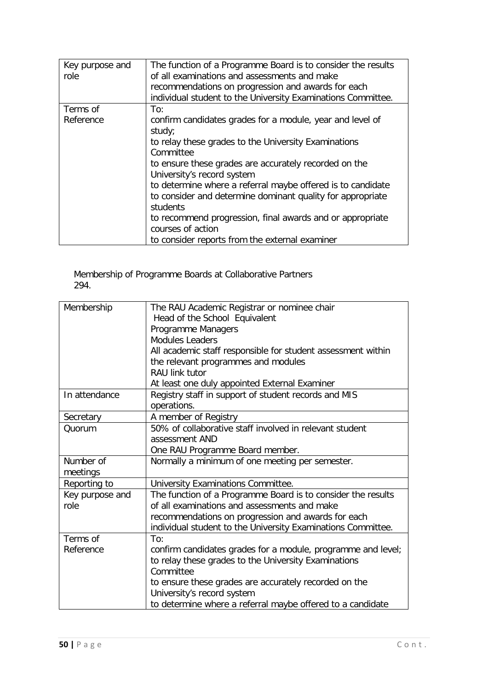| Key purpose and | The function of a Programme Board is to consider the results |
|-----------------|--------------------------------------------------------------|
| role            | of all examinations and assessments and make                 |
|                 | recommendations on progression and awards for each           |
|                 | individual student to the University Examinations Committee. |
| Terms of        | To:                                                          |
| Reference       | confirm candidates grades for a module, year and level of    |
|                 | study;                                                       |
|                 | to relay these grades to the University Examinations         |
|                 | Committee                                                    |
|                 | to ensure these grades are accurately recorded on the        |
|                 | University's record system                                   |
|                 | to determine where a referral maybe offered is to candidate  |
|                 | to consider and determine dominant quality for appropriate   |
|                 | students                                                     |
|                 | to recommend progression, final awards and or appropriate    |
|                 | courses of action                                            |
|                 | to consider reports from the external examiner               |

#### <span id="page-49-0"></span>Membership of Programme Boards at Collaborative Partners 294.

| Membership      | The RAU Academic Registrar or nominee chair                  |
|-----------------|--------------------------------------------------------------|
|                 | Head of the School Equivalent                                |
|                 | Programme Managers                                           |
|                 | <b>Modules Leaders</b>                                       |
|                 | All academic staff responsible for student assessment within |
|                 | the relevant programmes and modules                          |
|                 | RAU link tutor                                               |
|                 | At least one duly appointed External Examiner                |
| In attendance   | Registry staff in support of student records and MIS         |
|                 | operations.                                                  |
| Secretary       | A member of Registry                                         |
| Quorum          | 50% of collaborative staff involved in relevant student      |
|                 | assessment AND                                               |
|                 | One RAU Programme Board member.                              |
| Number of       | Normally a minimum of one meeting per semester.              |
| meetings        |                                                              |
| Reporting to    | University Examinations Committee.                           |
| Key purpose and | The function of a Programme Board is to consider the results |
| role            | of all examinations and assessments and make                 |
|                 | recommendations on progression and awards for each           |
|                 | individual student to the University Examinations Committee. |
| Terms of        | To:                                                          |
| Reference       | confirm candidates grades for a module, programme and level; |
|                 | to relay these grades to the University Examinations         |
|                 | Committee                                                    |
|                 | to ensure these grades are accurately recorded on the        |
|                 | University's record system                                   |
|                 | to determine where a referral maybe offered to a candidate   |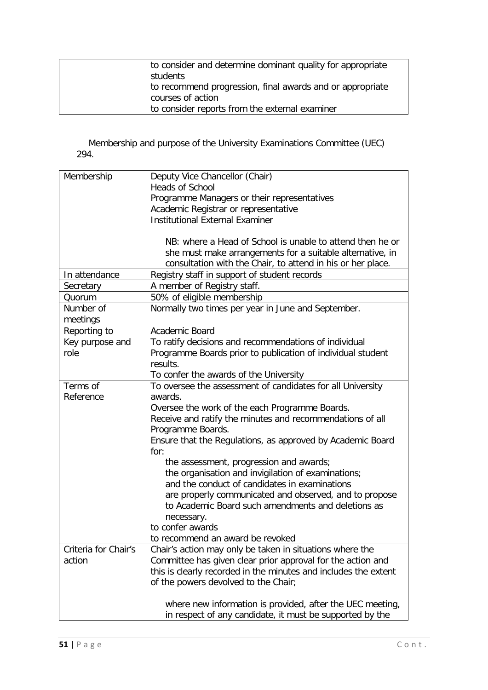| to consider and determine dominant quality for appropriate |
|------------------------------------------------------------|
| students                                                   |
| to recommend progression, final awards and or appropriate  |
| courses of action                                          |
| to consider reports from the external examiner             |

<span id="page-50-0"></span>Membership and purpose of the University Examinations Committee (UEC) 294.

| Membership           | Deputy Vice Chancellor (Chair)                                  |
|----------------------|-----------------------------------------------------------------|
|                      | <b>Heads of School</b>                                          |
|                      | Programme Managers or their representatives                     |
|                      | Academic Registrar or representative                            |
|                      | <b>Institutional External Examiner</b>                          |
|                      |                                                                 |
|                      | NB: where a Head of School is unable to attend then he or       |
|                      | she must make arrangements for a suitable alternative, in       |
|                      | consultation with the Chair, to attend in his or her place.     |
| In attendance        | Registry staff in support of student records                    |
| Secretary            | A member of Registry staff.                                     |
| Quorum               | 50% of eligible membership                                      |
| Number of            | Normally two times per year in June and September.              |
| meetings             |                                                                 |
| Reporting to         | Academic Board                                                  |
| Key purpose and      | To ratify decisions and recommendations of individual           |
| role                 | Programme Boards prior to publication of individual student     |
|                      | results.                                                        |
|                      | To confer the awards of the University                          |
| Terms of             | To oversee the assessment of candidates for all University      |
| Reference            | awards.                                                         |
|                      | Oversee the work of the each Programme Boards.                  |
|                      | Receive and ratify the minutes and recommendations of all       |
|                      | Programme Boards.                                               |
|                      | Ensure that the Regulations, as approved by Academic Board      |
|                      | for:                                                            |
|                      | the assessment, progression and awards;                         |
|                      | the organisation and invigilation of examinations;              |
|                      | and the conduct of candidates in examinations                   |
|                      | are properly communicated and observed, and to propose          |
|                      | to Academic Board such amendments and deletions as              |
|                      | necessary.                                                      |
|                      | to confer awards                                                |
|                      | to recommend an award be revoked                                |
| Criteria for Chair's | Chair's action may only be taken in situations where the        |
| action               | Committee has given clear prior approval for the action and     |
|                      | this is clearly recorded in the minutes and includes the extent |
|                      | of the powers devolved to the Chair;                            |
|                      |                                                                 |
|                      | where new information is provided, after the UEC meeting,       |
|                      | in respect of any candidate, it must be supported by the        |